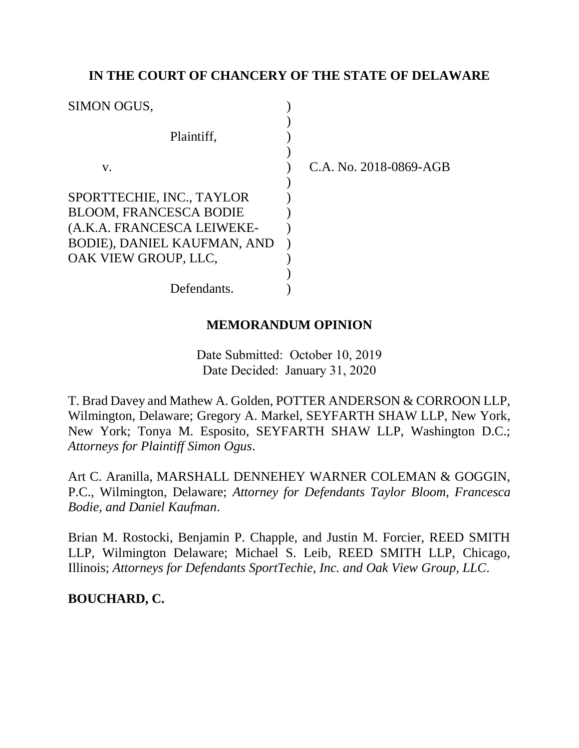## **IN THE COURT OF CHANCERY OF THE STATE OF DELAWARE**

| <b>SIMON OGUS,</b>            |  |
|-------------------------------|--|
| Plaintiff.                    |  |
|                               |  |
| V.                            |  |
|                               |  |
| SPORTTECHIE, INC., TAYLOR     |  |
| <b>BLOOM, FRANCESCA BODIE</b> |  |
| (A.K.A. FRANCESCA LEIWEKE-    |  |
| BODIE), DANIEL KAUFMAN, AND   |  |
| OAK VIEW GROUP, LLC,          |  |
|                               |  |
| Defendants.                   |  |

C.A. No. 2018-0869-AGB

### **MEMORANDUM OPINION**

Date Submitted: October 10, 2019 Date Decided: January 31, 2020

T. Brad Davey and Mathew A. Golden, POTTER ANDERSON & CORROON LLP, Wilmington, Delaware; Gregory A. Markel, SEYFARTH SHAW LLP, New York, New York; Tonya M. Esposito, SEYFARTH SHAW LLP, Washington D.C.; *Attorneys for Plaintiff Simon Ogus*.

Art C. Aranilla, MARSHALL DENNEHEY WARNER COLEMAN & GOGGIN, P.C., Wilmington, Delaware; *Attorney for Defendants Taylor Bloom, Francesca Bodie, and Daniel Kaufman*.

Brian M. Rostocki, Benjamin P. Chapple, and Justin M. Forcier, REED SMITH LLP, Wilmington Delaware; Michael S. Leib, REED SMITH LLP, Chicago, Illinois; *Attorneys for Defendants SportTechie, Inc. and Oak View Group, LLC*.

# **BOUCHARD, C.**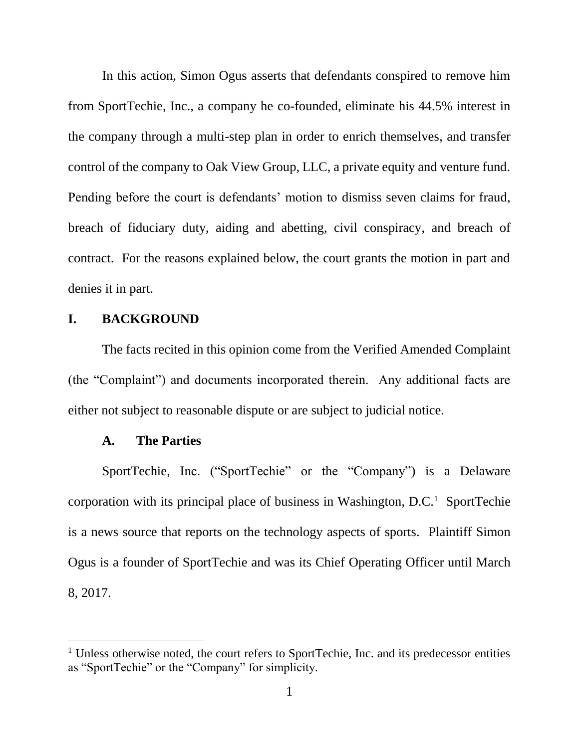In this action, Simon Ogus asserts that defendants conspired to remove him from SportTechie, Inc., a company he co-founded, eliminate his 44.5% interest in the company through a multi-step plan in order to enrich themselves, and transfer control of the company to Oak View Group, LLC, a private equity and venture fund. Pending before the court is defendants' motion to dismiss seven claims for fraud, breach of fiduciary duty, aiding and abetting, civil conspiracy, and breach of contract. For the reasons explained below, the court grants the motion in part and denies it in part.

#### **I. BACKGROUND**

The facts recited in this opinion come from the Verified Amended Complaint (the "Complaint") and documents incorporated therein. Any additional facts are either not subject to reasonable dispute or are subject to judicial notice.

#### **A. The Parties**

 $\overline{a}$ 

SportTechie, Inc. ("SportTechie" or the "Company") is a Delaware corporation with its principal place of business in Washington, D.C.<sup>1</sup> SportTechie is a news source that reports on the technology aspects of sports. Plaintiff Simon Ogus is a founder of SportTechie and was its Chief Operating Officer until March 8, 2017.

<sup>&</sup>lt;sup>1</sup> Unless otherwise noted, the court refers to SportTechie, Inc. and its predecessor entities as "SportTechie" or the "Company" for simplicity.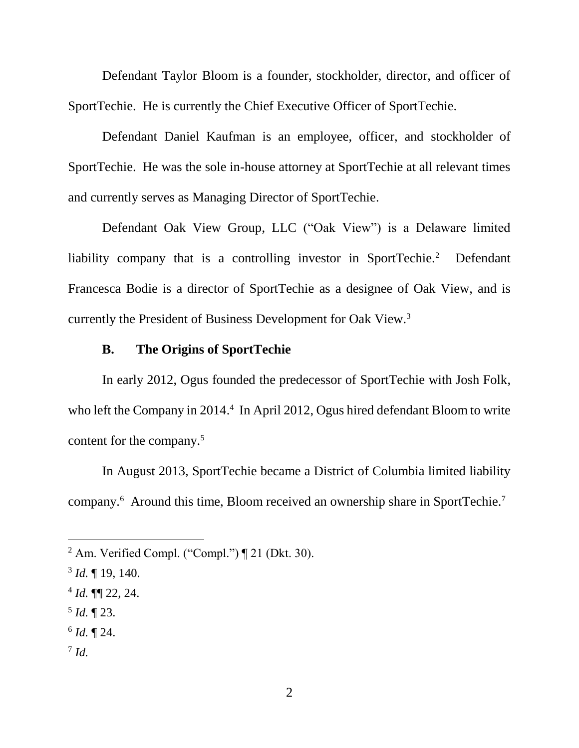Defendant Taylor Bloom is a founder, stockholder, director, and officer of SportTechie. He is currently the Chief Executive Officer of SportTechie.

Defendant Daniel Kaufman is an employee, officer, and stockholder of SportTechie. He was the sole in-house attorney at SportTechie at all relevant times and currently serves as Managing Director of SportTechie.

Defendant Oak View Group, LLC ("Oak View") is a Delaware limited liability company that is a controlling investor in SportTechie.<sup>2</sup> Defendant Francesca Bodie is a director of SportTechie as a designee of Oak View, and is currently the President of Business Development for Oak View.<sup>3</sup>

## **B. The Origins of SportTechie**

In early 2012, Ogus founded the predecessor of SportTechie with Josh Folk, who left the Company in 2014.<sup>4</sup> In April 2012, Ogus hired defendant Bloom to write content for the company.<sup>5</sup>

In August 2013, SportTechie became a District of Columbia limited liability company.<sup>6</sup> Around this time, Bloom received an ownership share in SportTechie.<sup>7</sup>

- 5 *Id.* ¶ 23.
- 6 *Id.* ¶ 24.
- 7 *Id.*

<sup>&</sup>lt;sup>2</sup> Am. Verified Compl. ("Compl.")  $\P$  21 (Dkt. 30).

<sup>3</sup> *Id.* ¶ 19, 140.

 $4$  *Id.*  $\P\P$  22, 24.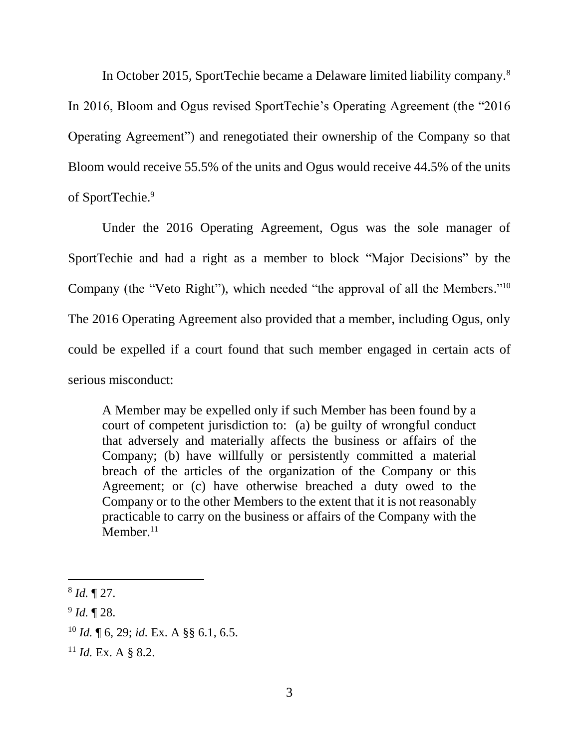In October 2015, SportTechie became a Delaware limited liability company.<sup>8</sup> In 2016, Bloom and Ogus revised SportTechie's Operating Agreement (the "2016 Operating Agreement") and renegotiated their ownership of the Company so that Bloom would receive 55.5% of the units and Ogus would receive 44.5% of the units of SportTechie.<sup>9</sup>

Under the 2016 Operating Agreement, Ogus was the sole manager of SportTechie and had a right as a member to block "Major Decisions" by the Company (the "Veto Right"), which needed "the approval of all the Members."<sup>10</sup> The 2016 Operating Agreement also provided that a member, including Ogus, only could be expelled if a court found that such member engaged in certain acts of serious misconduct:

A Member may be expelled only if such Member has been found by a court of competent jurisdiction to: (a) be guilty of wrongful conduct that adversely and materially affects the business or affairs of the Company; (b) have willfully or persistently committed a material breach of the articles of the organization of the Company or this Agreement; or (c) have otherwise breached a duty owed to the Company or to the other Members to the extent that it is not reasonably practicable to carry on the business or affairs of the Company with the  $M$ ember.<sup>11</sup>

- <sup>10</sup> *Id.* ¶ 6, 29; *id.* Ex. A §§ 6.1, 6.5.
- <sup>11</sup> *Id.* Ex. A § 8.2.

<sup>8</sup> *Id.* ¶ 27.

<sup>9</sup> *Id.* ¶ 28.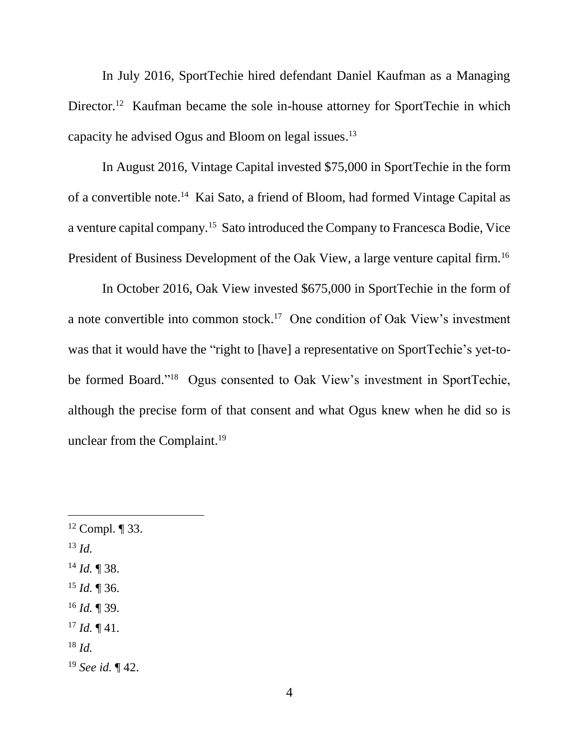In July 2016, SportTechie hired defendant Daniel Kaufman as a Managing Director.<sup>12</sup> Kaufman became the sole in-house attorney for SportTechie in which capacity he advised Ogus and Bloom on legal issues. 13

In August 2016, Vintage Capital invested \$75,000 in SportTechie in the form of a convertible note.<sup>14</sup> Kai Sato, a friend of Bloom, had formed Vintage Capital as a venture capital company.<sup>15</sup> Sato introduced the Company to Francesca Bodie, Vice President of Business Development of the Oak View, a large venture capital firm.<sup>16</sup>

In October 2016, Oak View invested \$675,000 in SportTechie in the form of a note convertible into common stock. 17 One condition of Oak View's investment was that it would have the "right to [have] a representative on SportTechie's yet-tobe formed Board." <sup>18</sup> Ogus consented to Oak View's investment in SportTechie, although the precise form of that consent and what Ogus knew when he did so is unclear from the Complaint.<sup>19</sup>

 $12$  Compl.  $\P$  33. <sup>13</sup> *Id.* <sup>14</sup> *Id.* ¶ 38. <sup>15</sup> *Id.* ¶ 36. <sup>16</sup> *Id.* ¶ 39.  $17$  *Id.*  $\P$  41. <sup>18</sup> *Id.* <sup>19</sup> *See id.* ¶ 42.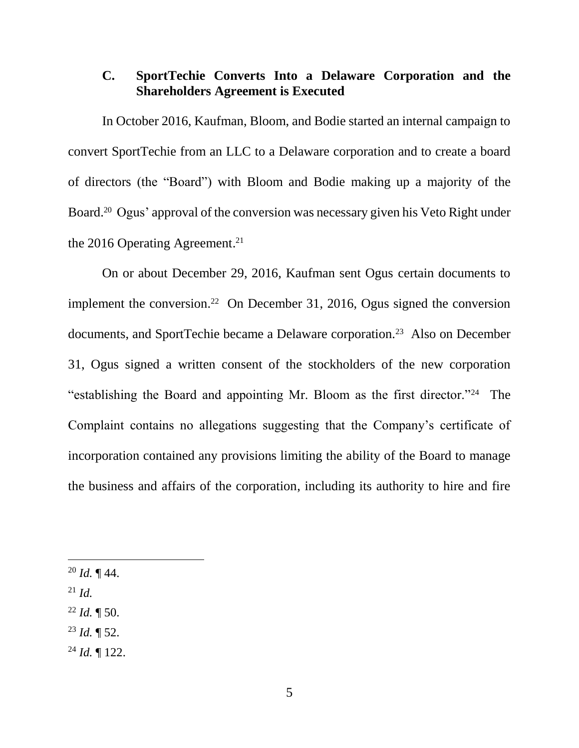# **C. SportTechie Converts Into a Delaware Corporation and the Shareholders Agreement is Executed**

In October 2016, Kaufman, Bloom, and Bodie started an internal campaign to convert SportTechie from an LLC to a Delaware corporation and to create a board of directors (the "Board") with Bloom and Bodie making up a majority of the Board. <sup>20</sup> Ogus' approval of the conversion was necessary given his Veto Right under the 2016 Operating Agreement. 21

On or about December 29, 2016, Kaufman sent Ogus certain documents to implement the conversion.<sup>22</sup> On December 31, 2016, Ogus signed the conversion documents, and SportTechie became a Delaware corporation.<sup>23</sup> Also on December 31, Ogus signed a written consent of the stockholders of the new corporation "establishing the Board and appointing Mr. Bloom as the first director."<sup>24</sup> The Complaint contains no allegations suggesting that the Company's certificate of incorporation contained any provisions limiting the ability of the Board to manage the business and affairs of the corporation, including its authority to hire and fire

- $^{20}$  *Id.* ¶ 44.
- <sup>21</sup> *Id.*

- $^{22}$  *Id.*  $\P$  50.
- <sup>23</sup> *Id.* ¶ 52.
- <sup>24</sup> *Id.* ¶ 122.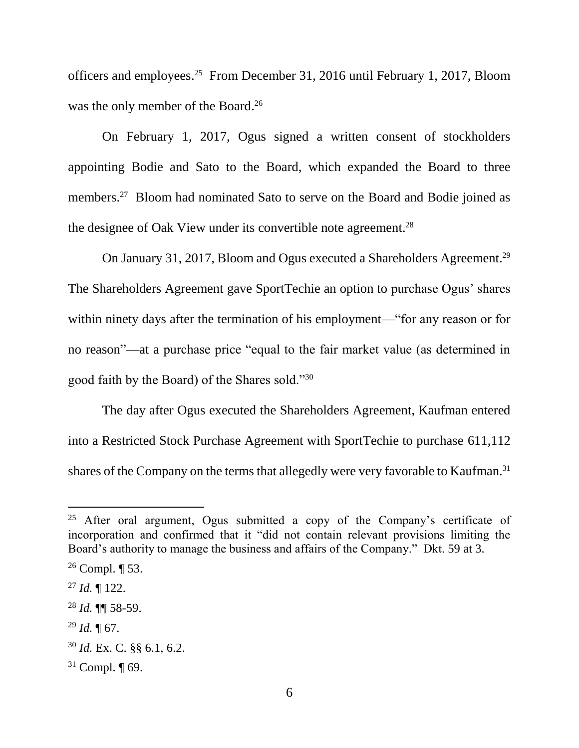officers and employees. 25 From December 31, 2016 until February 1, 2017, Bloom was the only member of the Board. 26

On February 1, 2017, Ogus signed a written consent of stockholders appointing Bodie and Sato to the Board, which expanded the Board to three members.<sup>27</sup> Bloom had nominated Sato to serve on the Board and Bodie joined as the designee of Oak View under its convertible note agreement.<sup>28</sup>

On January 31, 2017, Bloom and Ogus executed a Shareholders Agreement.<sup>29</sup> The Shareholders Agreement gave SportTechie an option to purchase Ogus' shares within ninety days after the termination of his employment—"for any reason or for no reason"—at a purchase price "equal to the fair market value (as determined in good faith by the Board) of the Shares sold."<sup>30</sup>

The day after Ogus executed the Shareholders Agreement, Kaufman entered into a Restricted Stock Purchase Agreement with SportTechie to purchase 611,112 shares of the Company on the terms that allegedly were very favorable to Kaufman.<sup>31</sup>

<sup>&</sup>lt;sup>25</sup> After oral argument, Ogus submitted a copy of the Company's certificate of incorporation and confirmed that it "did not contain relevant provisions limiting the Board's authority to manage the business and affairs of the Company." Dkt. 59 at 3.

<sup>&</sup>lt;sup>26</sup> Compl.  $\P$  53.

 $^{27}$  *Id.*  $\blacksquare$  122.

<sup>28</sup> *Id.* ¶¶ 58-59.

<sup>29</sup> *Id.* ¶ 67.

<sup>30</sup> *Id.* Ex. C. §§ 6.1, 6.2.

 $31$  Compl.  $\P$  69.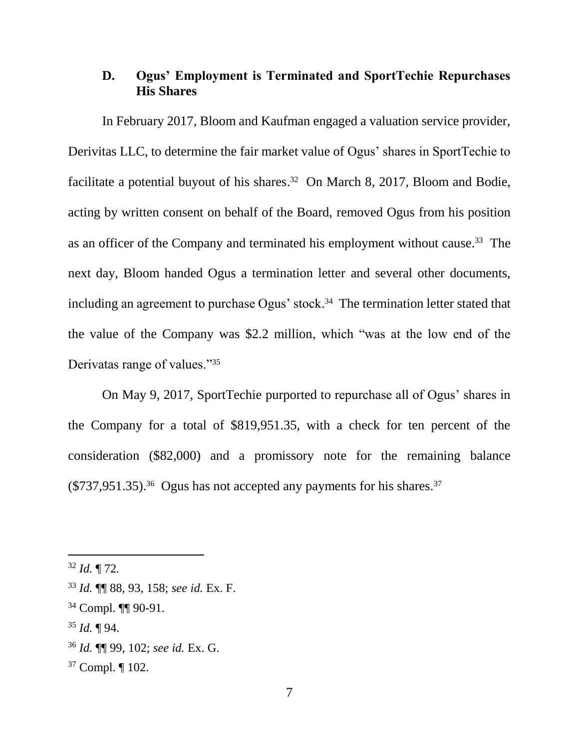# **D. Ogus' Employment is Terminated and SportTechie Repurchases His Shares**

In February 2017, Bloom and Kaufman engaged a valuation service provider, Derivitas LLC, to determine the fair market value of Ogus' shares in SportTechie to facilitate a potential buyout of his shares.<sup>32</sup> On March 8, 2017, Bloom and Bodie, acting by written consent on behalf of the Board, removed Ogus from his position as an officer of the Company and terminated his employment without cause.<sup>33</sup> The next day, Bloom handed Ogus a termination letter and several other documents, including an agreement to purchase Ogus' stock. 34 The termination letter stated that the value of the Company was \$2.2 million, which "was at the low end of the Derivatas range of values."<sup>35</sup>

On May 9, 2017, SportTechie purported to repurchase all of Ogus' shares in the Company for a total of \$819,951.35, with a check for ten percent of the consideration (\$82,000) and a promissory note for the remaining balance  $(\$737,951.35).$ <sup>36</sup> Ogus has not accepted any payments for his shares.<sup>37</sup>

<sup>32</sup> *Id.* ¶ 72*.*

<sup>33</sup> *Id.* ¶¶ 88, 93, 158; *see id.* Ex. F.

<sup>34</sup> Compl. ¶¶ 90-91.

<sup>35</sup> *Id.* ¶ 94.

<sup>36</sup> *Id.* ¶¶ 99, 102; *see id.* Ex. G.

<sup>37</sup> Compl. ¶ 102.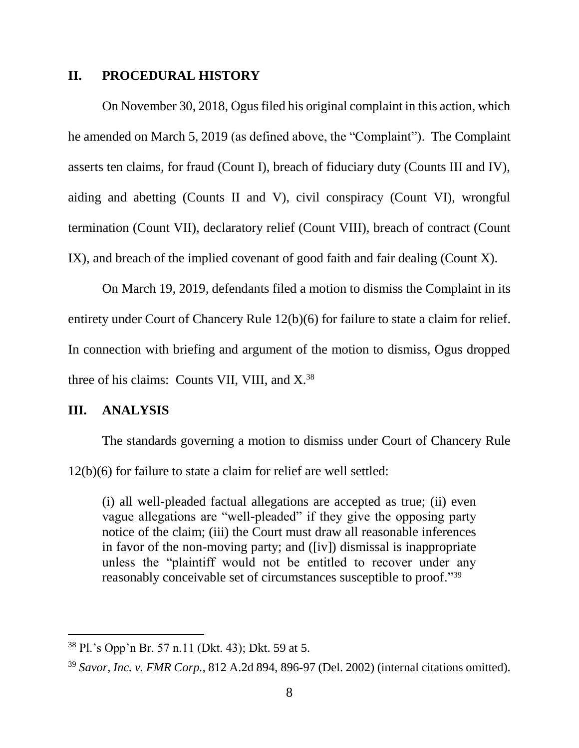#### **II. PROCEDURAL HISTORY**

On November 30, 2018, Ogus filed his original complaint in this action, which he amended on March 5, 2019 (as defined above, the "Complaint"). The Complaint asserts ten claims, for fraud (Count I), breach of fiduciary duty (Counts III and IV), aiding and abetting (Counts II and V), civil conspiracy (Count VI), wrongful termination (Count VII), declaratory relief (Count VIII), breach of contract (Count IX), and breach of the implied covenant of good faith and fair dealing (Count X).

On March 19, 2019, defendants filed a motion to dismiss the Complaint in its entirety under Court of Chancery Rule 12(b)(6) for failure to state a claim for relief. In connection with briefing and argument of the motion to dismiss, Ogus dropped three of his claims: Counts VII, VIII, and X. 38

### **III. ANALYSIS**

 $\overline{a}$ 

The standards governing a motion to dismiss under Court of Chancery Rule

12(b)(6) for failure to state a claim for relief are well settled:

(i) all well-pleaded factual allegations are accepted as true; (ii) even vague allegations are "well-pleaded" if they give the opposing party notice of the claim; (iii) the Court must draw all reasonable inferences in favor of the non-moving party; and ([iv]) dismissal is inappropriate unless the "plaintiff would not be entitled to recover under any reasonably conceivable set of circumstances susceptible to proof."<sup>39</sup>

<sup>38</sup> Pl.'s Opp'n Br. 57 n.11 (Dkt. 43); Dkt. 59 at 5.

<sup>39</sup> *Savor, Inc. v. FMR Corp.*, 812 A.2d 894, 896-97 (Del. 2002) (internal citations omitted).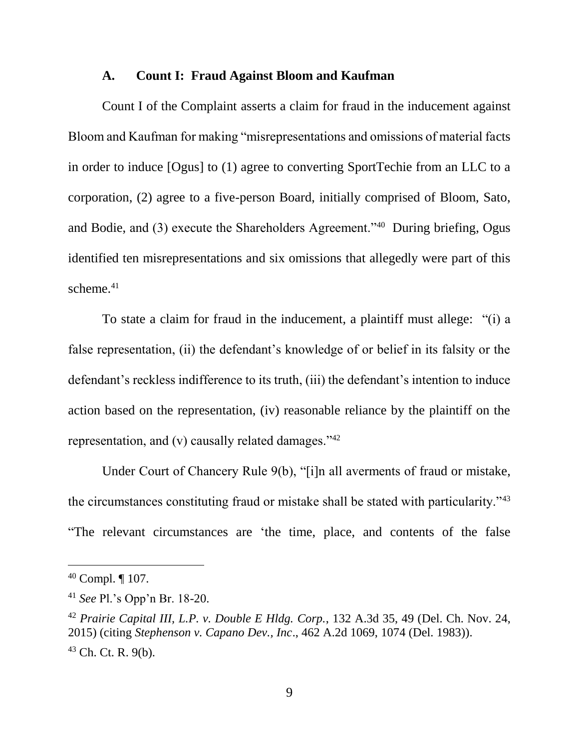### **A. Count I: Fraud Against Bloom and Kaufman**

Count I of the Complaint asserts a claim for fraud in the inducement against Bloom and Kaufman for making "misrepresentations and omissions of material facts in order to induce [Ogus] to (1) agree to converting SportTechie from an LLC to a corporation, (2) agree to a five-person Board, initially comprised of Bloom, Sato, and Bodie, and (3) execute the Shareholders Agreement."<sup>40</sup> During briefing, Ogus identified ten misrepresentations and six omissions that allegedly were part of this scheme.<sup>41</sup>

To state a claim for fraud in the inducement, a plaintiff must allege: "(i) a false representation, (ii) the defendant's knowledge of or belief in its falsity or the defendant's reckless indifference to its truth, (iii) the defendant's intention to induce action based on the representation, (iv) reasonable reliance by the plaintiff on the representation, and (v) causally related damages." $42$ 

Under Court of Chancery Rule 9(b), "[i]n all averments of fraud or mistake, the circumstances constituting fraud or mistake shall be stated with particularity."<sup>43</sup> "The relevant circumstances are 'the time, place, and contents of the false

<sup>40</sup> Compl. ¶ 107.

<sup>41</sup> *See* Pl.'s Opp'n Br. 18-20.

<sup>42</sup> *Prairie Capital III, L.P. v. Double E Hldg. Corp.*, 132 A.3d 35, 49 (Del. Ch. Nov. 24, 2015) (citing *Stephenson v. Capano Dev., Inc*., 462 A.2d 1069, 1074 (Del. 1983)).  $43$  Ch. Ct. R. 9(b).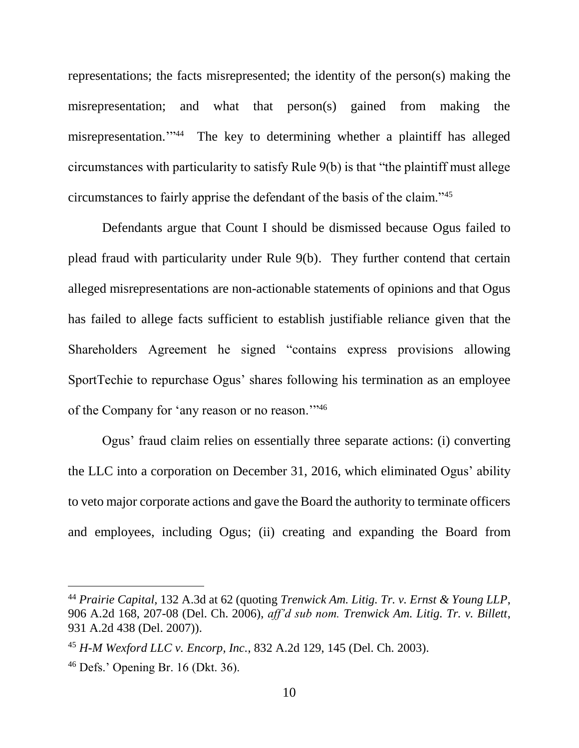representations; the facts misrepresented; the identity of the person(s) making the misrepresentation; and what that person(s) gained from making the misrepresentation.'" <sup>44</sup> The key to determining whether a plaintiff has alleged circumstances with particularity to satisfy Rule 9(b) is that "the plaintiff must allege circumstances to fairly apprise the defendant of the basis of the claim."<sup>45</sup>

Defendants argue that Count I should be dismissed because Ogus failed to plead fraud with particularity under Rule 9(b). They further contend that certain alleged misrepresentations are non-actionable statements of opinions and that Ogus has failed to allege facts sufficient to establish justifiable reliance given that the Shareholders Agreement he signed "contains express provisions allowing SportTechie to repurchase Ogus' shares following his termination as an employee of the Company for 'any reason or no reason.'"<sup>46</sup>

Ogus' fraud claim relies on essentially three separate actions: (i) converting the LLC into a corporation on December 31, 2016, which eliminated Ogus' ability to veto major corporate actions and gave the Board the authority to terminate officers and employees, including Ogus; (ii) creating and expanding the Board from

<sup>44</sup> *Prairie Capital,* 132 A.3d at 62 (quoting *Trenwick Am. Litig. Tr. v. Ernst & Young LLP*, 906 A.2d 168, 207-08 (Del. Ch. 2006), *aff'd sub nom. Trenwick Am. Litig. Tr. v. Billett*, 931 A.2d 438 (Del. 2007)).

<sup>45</sup> *H-M Wexford LLC v. Encorp, Inc.*, 832 A.2d 129, 145 (Del. Ch. 2003).

<sup>46</sup> Defs.' Opening Br. 16 (Dkt. 36).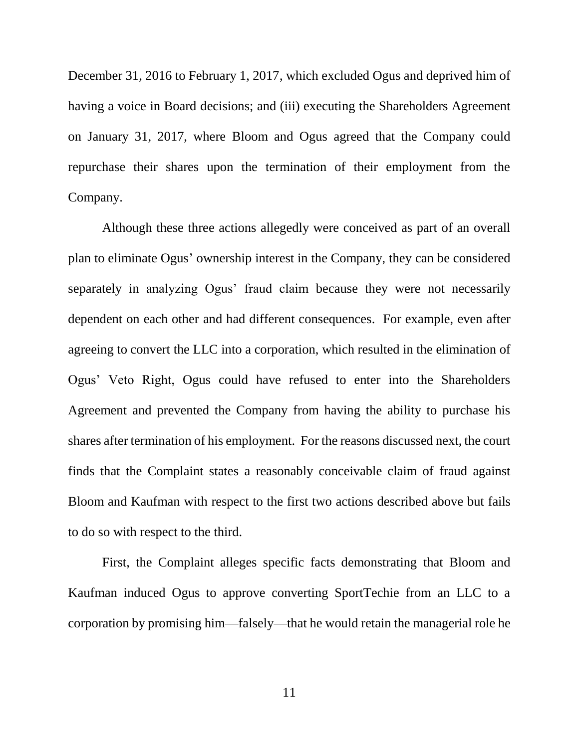December 31, 2016 to February 1, 2017, which excluded Ogus and deprived him of having a voice in Board decisions; and (iii) executing the Shareholders Agreement on January 31, 2017, where Bloom and Ogus agreed that the Company could repurchase their shares upon the termination of their employment from the Company.

Although these three actions allegedly were conceived as part of an overall plan to eliminate Ogus' ownership interest in the Company, they can be considered separately in analyzing Ogus' fraud claim because they were not necessarily dependent on each other and had different consequences. For example, even after agreeing to convert the LLC into a corporation, which resulted in the elimination of Ogus' Veto Right, Ogus could have refused to enter into the Shareholders Agreement and prevented the Company from having the ability to purchase his shares after termination of his employment. For the reasons discussed next, the court finds that the Complaint states a reasonably conceivable claim of fraud against Bloom and Kaufman with respect to the first two actions described above but fails to do so with respect to the third.

First, the Complaint alleges specific facts demonstrating that Bloom and Kaufman induced Ogus to approve converting SportTechie from an LLC to a corporation by promising him—falsely—that he would retain the managerial role he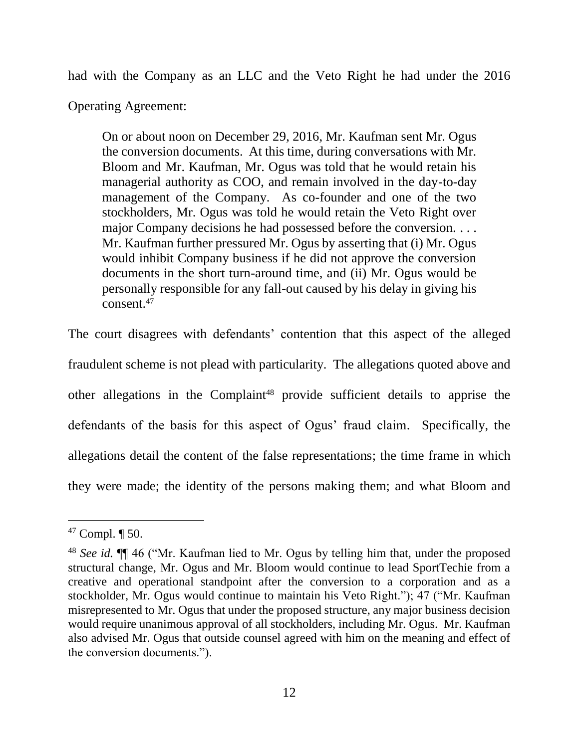had with the Company as an LLC and the Veto Right he had under the 2016

Operating Agreement:

On or about noon on December 29, 2016, Mr. Kaufman sent Mr. Ogus the conversion documents. At this time, during conversations with Mr. Bloom and Mr. Kaufman, Mr. Ogus was told that he would retain his managerial authority as COO, and remain involved in the day-to-day management of the Company. As co-founder and one of the two stockholders, Mr. Ogus was told he would retain the Veto Right over major Company decisions he had possessed before the conversion. . . . Mr. Kaufman further pressured Mr. Ogus by asserting that (i) Mr. Ogus would inhibit Company business if he did not approve the conversion documents in the short turn-around time, and (ii) Mr. Ogus would be personally responsible for any fall-out caused by his delay in giving his consent.<sup>47</sup>

The court disagrees with defendants' contention that this aspect of the alleged fraudulent scheme is not plead with particularity. The allegations quoted above and other allegations in the Complaint<sup>48</sup> provide sufficient details to apprise the defendants of the basis for this aspect of Ogus' fraud claim. Specifically, the allegations detail the content of the false representations; the time frame in which they were made; the identity of the persons making them; and what Bloom and

<sup>47</sup> Compl. ¶ 50.

<sup>48</sup> *See id.* ¶¶ 46 ("Mr. Kaufman lied to Mr. Ogus by telling him that, under the proposed structural change, Mr. Ogus and Mr. Bloom would continue to lead SportTechie from a creative and operational standpoint after the conversion to a corporation and as a stockholder, Mr. Ogus would continue to maintain his Veto Right."); 47 ("Mr. Kaufman misrepresented to Mr. Ogus that under the proposed structure, any major business decision would require unanimous approval of all stockholders, including Mr. Ogus. Mr. Kaufman also advised Mr. Ogus that outside counsel agreed with him on the meaning and effect of the conversion documents.").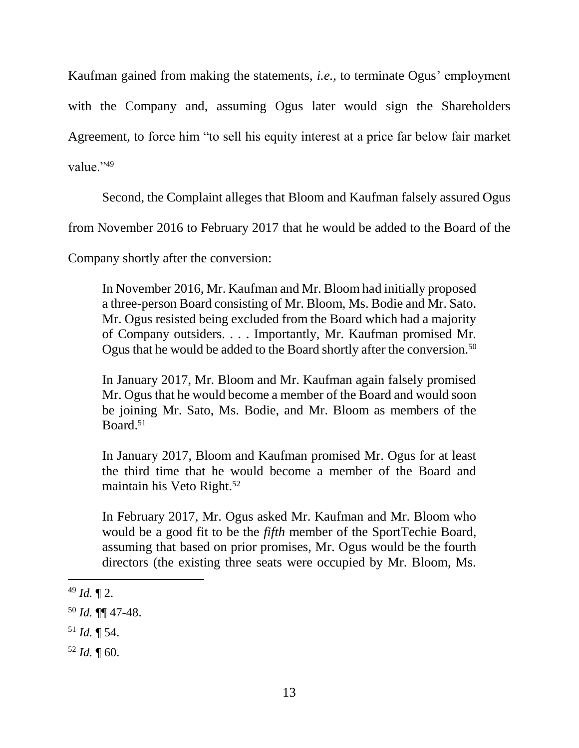Kaufman gained from making the statements, *i.e.*, to terminate Ogus' employment with the Company and, assuming Ogus later would sign the Shareholders Agreement, to force him "to sell his equity interest at a price far below fair market

value."49

Second, the Complaint alleges that Bloom and Kaufman falsely assured Ogus

from November 2016 to February 2017 that he would be added to the Board of the

Company shortly after the conversion:

In November 2016, Mr. Kaufman and Mr. Bloom had initially proposed a three-person Board consisting of Mr. Bloom, Ms. Bodie and Mr. Sato. Mr. Ogus resisted being excluded from the Board which had a majority of Company outsiders. . . . Importantly, Mr. Kaufman promised Mr. Ogus that he would be added to the Board shortly after the conversion.<sup>50</sup>

In January 2017, Mr. Bloom and Mr. Kaufman again falsely promised Mr. Ogus that he would become a member of the Board and would soon be joining Mr. Sato, Ms. Bodie, and Mr. Bloom as members of the Board.<sup>51</sup>

In January 2017, Bloom and Kaufman promised Mr. Ogus for at least the third time that he would become a member of the Board and maintain his Veto Right.<sup>52</sup>

In February 2017, Mr. Ogus asked Mr. Kaufman and Mr. Bloom who would be a good fit to be the *fifth* member of the SportTechie Board, assuming that based on prior promises, Mr. Ogus would be the fourth directors (the existing three seats were occupied by Mr. Bloom, Ms.

l

 $52$  *Id.*  $\text{T}$  60.

 $49$  *Id.*  $\P$  2.

<sup>50</sup> *Id.* ¶¶ 47-48.

 $51$  *Id.*  $\P$  54.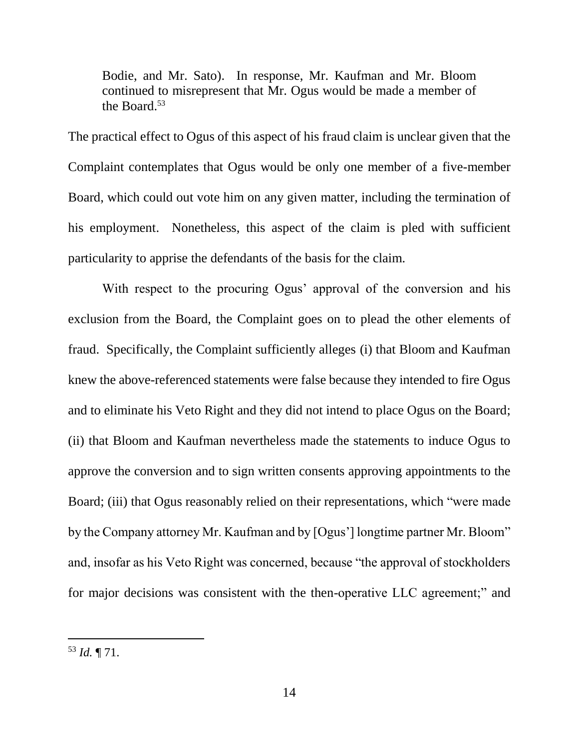Bodie, and Mr. Sato). In response, Mr. Kaufman and Mr. Bloom continued to misrepresent that Mr. Ogus would be made a member of the Board.<sup>53</sup>

The practical effect to Ogus of this aspect of his fraud claim is unclear given that the Complaint contemplates that Ogus would be only one member of a five-member Board, which could out vote him on any given matter, including the termination of his employment. Nonetheless, this aspect of the claim is pled with sufficient particularity to apprise the defendants of the basis for the claim.

With respect to the procuring Ogus' approval of the conversion and his exclusion from the Board, the Complaint goes on to plead the other elements of fraud. Specifically, the Complaint sufficiently alleges (i) that Bloom and Kaufman knew the above-referenced statements were false because they intended to fire Ogus and to eliminate his Veto Right and they did not intend to place Ogus on the Board; (ii) that Bloom and Kaufman nevertheless made the statements to induce Ogus to approve the conversion and to sign written consents approving appointments to the Board; (iii) that Ogus reasonably relied on their representations, which "were made by the Company attorney Mr. Kaufman and by [Ogus'] longtime partner Mr. Bloom" and, insofar as his Veto Right was concerned, because "the approval of stockholders for major decisions was consistent with the then-operative LLC agreement;" and

<sup>53</sup> *Id.* ¶ 71.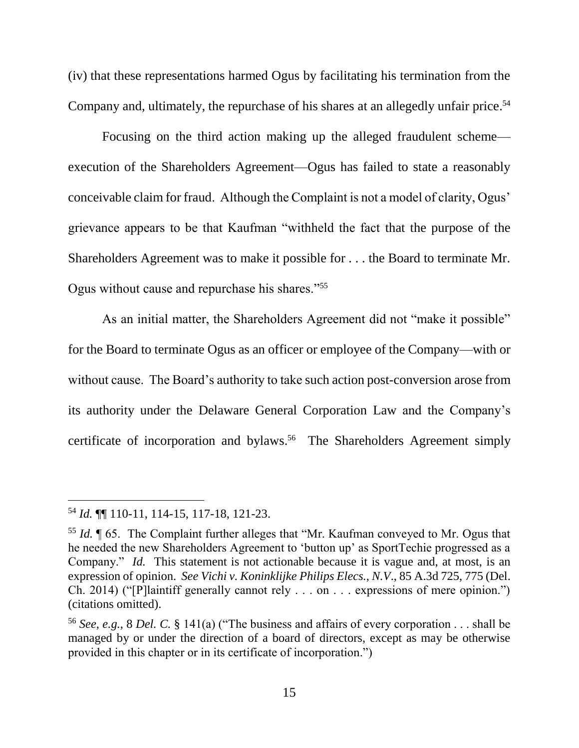(iv) that these representations harmed Ogus by facilitating his termination from the Company and, ultimately, the repurchase of his shares at an allegedly unfair price. 54

Focusing on the third action making up the alleged fraudulent scheme execution of the Shareholders Agreement—Ogus has failed to state a reasonably conceivable claim for fraud. Although the Complaint is not a model of clarity, Ogus' grievance appears to be that Kaufman "withheld the fact that the purpose of the Shareholders Agreement was to make it possible for . . . the Board to terminate Mr. Ogus without cause and repurchase his shares."<sup>55</sup>

As an initial matter, the Shareholders Agreement did not "make it possible" for the Board to terminate Ogus as an officer or employee of the Company—with or without cause. The Board's authority to take such action post-conversion arose from its authority under the Delaware General Corporation Law and the Company's certificate of incorporation and bylaws.<sup>56</sup> The Shareholders Agreement simply

<sup>54</sup> *Id.* ¶¶ 110-11, 114-15, 117-18, 121-23.

<sup>55</sup> *Id.* ¶ 65. The Complaint further alleges that "Mr. Kaufman conveyed to Mr. Ogus that he needed the new Shareholders Agreement to 'button up' as SportTechie progressed as a Company." *Id.* This statement is not actionable because it is vague and, at most, is an expression of opinion. *See Vichi v. Koninklijke Philips Elecs., N.V*., 85 A.3d 725, 775 (Del. Ch. 2014) ("[P]laintiff generally cannot rely . . . on . . . expressions of mere opinion.") (citations omitted).

<sup>56</sup> *See, e.g.*, 8 *Del. C.* § 141(a) ("The business and affairs of every corporation . . . shall be managed by or under the direction of a board of directors, except as may be otherwise provided in this chapter or in its certificate of incorporation.")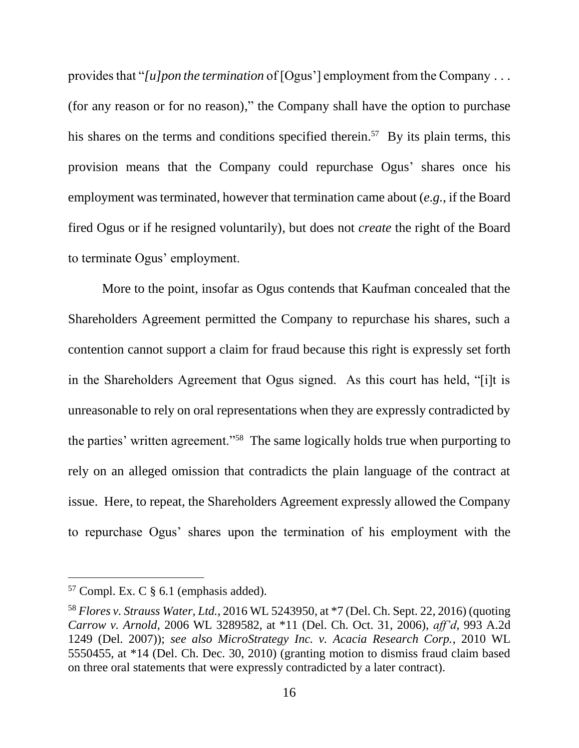provides that "*[u]pon the termination* of [Ogus'] employment from the Company . . . (for any reason or for no reason)," the Company shall have the option to purchase his shares on the terms and conditions specified therein.<sup>57</sup> By its plain terms, this provision means that the Company could repurchase Ogus' shares once his employment was terminated, however that termination came about (*e.g.*, if the Board fired Ogus or if he resigned voluntarily), but does not *create* the right of the Board to terminate Ogus' employment.

More to the point, insofar as Ogus contends that Kaufman concealed that the Shareholders Agreement permitted the Company to repurchase his shares, such a contention cannot support a claim for fraud because this right is expressly set forth in the Shareholders Agreement that Ogus signed. As this court has held, "[i]t is unreasonable to rely on oral representations when they are expressly contradicted by the parties' written agreement."<sup>58</sup> The same logically holds true when purporting to rely on an alleged omission that contradicts the plain language of the contract at issue. Here, to repeat, the Shareholders Agreement expressly allowed the Company to repurchase Ogus' shares upon the termination of his employment with the

 $57$  Compl. Ex. C § 6.1 (emphasis added).

<sup>58</sup> *Flores v. Strauss Water, Ltd.*, 2016 WL 5243950, at \*7 (Del. Ch. Sept. 22, 2016) (quoting *Carrow v. Arnold*, 2006 WL 3289582, at \*11 (Del. Ch. Oct. 31, 2006), *aff'd*, 993 A.2d 1249 (Del. 2007)); *see also MicroStrategy Inc. v. Acacia Research Corp.*, 2010 WL 5550455, at \*14 (Del. Ch. Dec. 30, 2010) (granting motion to dismiss fraud claim based on three oral statements that were expressly contradicted by a later contract).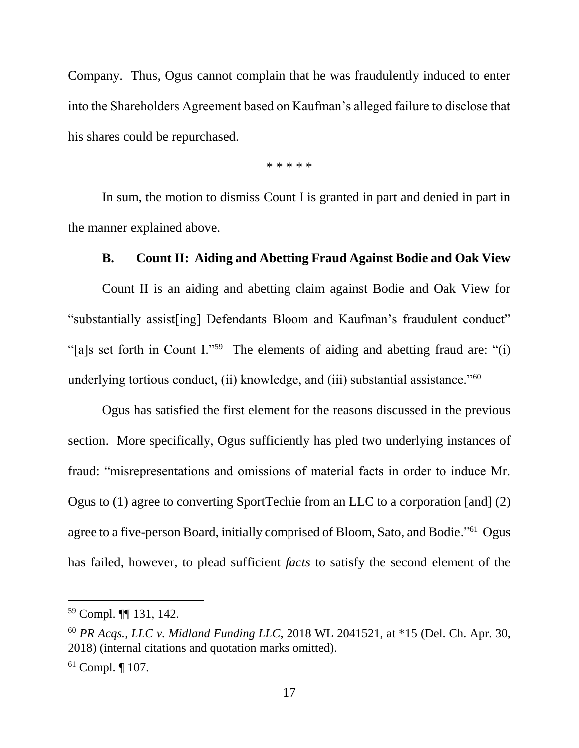Company. Thus, Ogus cannot complain that he was fraudulently induced to enter into the Shareholders Agreement based on Kaufman's alleged failure to disclose that his shares could be repurchased.

\* \* \* \* \*

In sum, the motion to dismiss Count I is granted in part and denied in part in the manner explained above.

### **B. Count II: Aiding and Abetting Fraud Against Bodie and Oak View**

Count II is an aiding and abetting claim against Bodie and Oak View for "substantially assist[ing] Defendants Bloom and Kaufman's fraudulent conduct" "[a]s set forth in Count I."<sup>59</sup> The elements of aiding and abetting fraud are: "(i) underlying tortious conduct, (ii) knowledge, and (iii) substantial assistance."<sup>60</sup>

Ogus has satisfied the first element for the reasons discussed in the previous section. More specifically, Ogus sufficiently has pled two underlying instances of fraud: "misrepresentations and omissions of material facts in order to induce Mr. Ogus to (1) agree to converting SportTechie from an LLC to a corporation [and] (2) agree to a five-person Board, initially comprised of Bloom, Sato, and Bodie."<sup>61</sup> Ogus has failed, however, to plead sufficient *facts* to satisfy the second element of the

<sup>59</sup> Compl. ¶¶ 131, 142.

<sup>60</sup> *PR Acqs., LLC v. Midland Funding LLC*, 2018 WL 2041521, at \*15 (Del. Ch. Apr. 30, 2018) (internal citations and quotation marks omitted).

 $61$  Compl.  $\P$  107.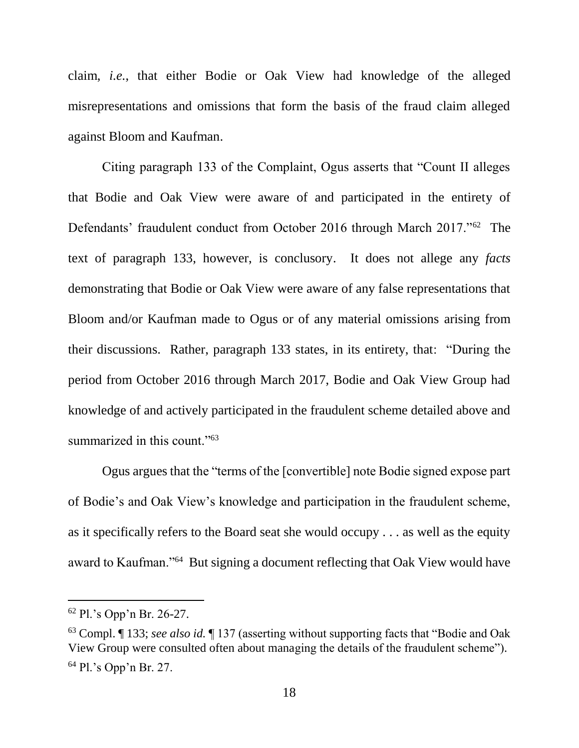claim, *i.e.*, that either Bodie or Oak View had knowledge of the alleged misrepresentations and omissions that form the basis of the fraud claim alleged against Bloom and Kaufman.

Citing paragraph 133 of the Complaint, Ogus asserts that "Count II alleges that Bodie and Oak View were aware of and participated in the entirety of Defendants' fraudulent conduct from October 2016 through March 2017."<sup>62</sup> The text of paragraph 133, however, is conclusory. It does not allege any *facts* demonstrating that Bodie or Oak View were aware of any false representations that Bloom and/or Kaufman made to Ogus or of any material omissions arising from their discussions. Rather, paragraph 133 states, in its entirety, that: "During the period from October 2016 through March 2017, Bodie and Oak View Group had knowledge of and actively participated in the fraudulent scheme detailed above and summarized in this count."<sup>63</sup>

Ogus argues that the "terms of the [convertible] note Bodie signed expose part of Bodie's and Oak View's knowledge and participation in the fraudulent scheme, as it specifically refers to the Board seat she would occupy . . . as well as the equity award to Kaufman."<sup>64</sup> But signing a document reflecting that Oak View would have

<sup>62</sup> Pl.'s Opp'n Br. 26-27.

<sup>63</sup> Compl. ¶ 133; *see also id.* ¶ 137 (asserting without supporting facts that "Bodie and Oak View Group were consulted often about managing the details of the fraudulent scheme"). <sup>64</sup> Pl.'s Opp'n Br. 27.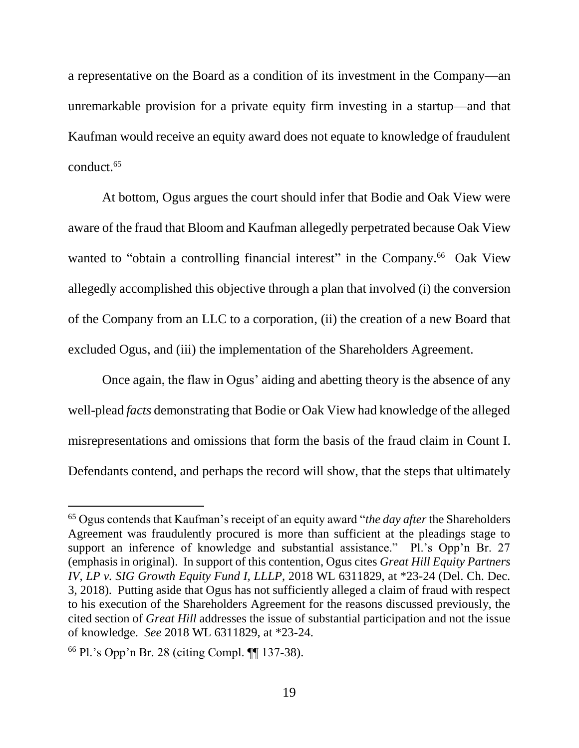a representative on the Board as a condition of its investment in the Company—an unremarkable provision for a private equity firm investing in a startup—and that Kaufman would receive an equity award does not equate to knowledge of fraudulent conduct.<sup>65</sup>

At bottom, Ogus argues the court should infer that Bodie and Oak View were aware of the fraud that Bloom and Kaufman allegedly perpetrated because Oak View wanted to "obtain a controlling financial interest" in the Company.<sup>66</sup> Oak View allegedly accomplished this objective through a plan that involved (i) the conversion of the Company from an LLC to a corporation, (ii) the creation of a new Board that excluded Ogus, and (iii) the implementation of the Shareholders Agreement.

Once again, the flaw in Ogus' aiding and abetting theory is the absence of any well-plead *facts* demonstrating that Bodie or Oak View had knowledge of the alleged misrepresentations and omissions that form the basis of the fraud claim in Count I. Defendants contend, and perhaps the record will show, that the steps that ultimately

<sup>65</sup> Ogus contends that Kaufman's receipt of an equity award "*the day after* the Shareholders Agreement was fraudulently procured is more than sufficient at the pleadings stage to support an inference of knowledge and substantial assistance." Pl.'s Opp'n Br. 27 (emphasis in original). In support of this contention, Ogus cites *Great Hill Equity Partners IV, LP v. SIG Growth Equity Fund I, LLLP*, 2018 WL 6311829, at \*23-24 (Del. Ch. Dec. 3, 2018). Putting aside that Ogus has not sufficiently alleged a claim of fraud with respect to his execution of the Shareholders Agreement for the reasons discussed previously, the cited section of *Great Hill* addresses the issue of substantial participation and not the issue of knowledge. *See* 2018 WL 6311829, at \*23-24.

<sup>66</sup> Pl.'s Opp'n Br. 28 (citing Compl. ¶¶ 137-38).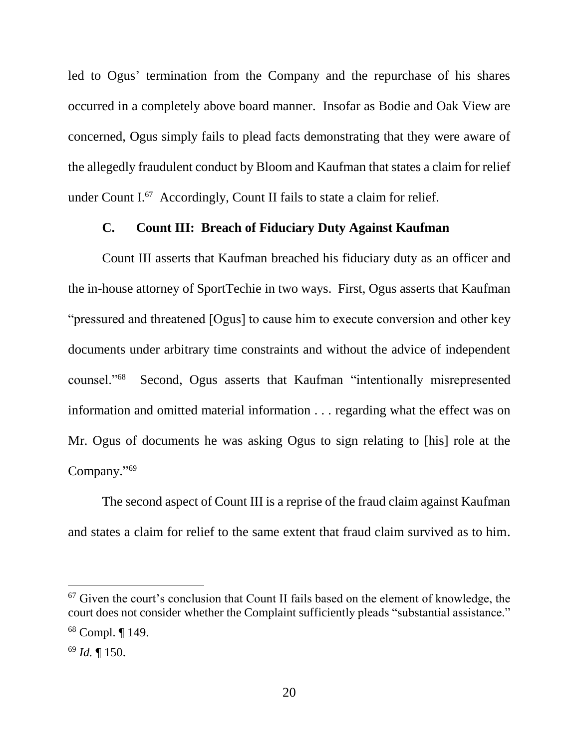led to Ogus' termination from the Company and the repurchase of his shares occurred in a completely above board manner. Insofar as Bodie and Oak View are concerned, Ogus simply fails to plead facts demonstrating that they were aware of the allegedly fraudulent conduct by Bloom and Kaufman that states a claim for relief under Count I. 67 Accordingly, Count II fails to state a claim for relief.

### **C. Count III: Breach of Fiduciary Duty Against Kaufman**

Count III asserts that Kaufman breached his fiduciary duty as an officer and the in-house attorney of SportTechie in two ways. First, Ogus asserts that Kaufman "pressured and threatened [Ogus] to cause him to execute conversion and other key documents under arbitrary time constraints and without the advice of independent counsel."<sup>68</sup> Second, Ogus asserts that Kaufman "intentionally misrepresented information and omitted material information . . . regarding what the effect was on Mr. Ogus of documents he was asking Ogus to sign relating to [his] role at the Company."<sup>69</sup>

The second aspect of Count III is a reprise of the fraud claim against Kaufman and states a claim for relief to the same extent that fraud claim survived as to him.

 $67$  Given the court's conclusion that Count II fails based on the element of knowledge, the court does not consider whether the Complaint sufficiently pleads "substantial assistance." <sup>68</sup> Compl. ¶ 149.

<sup>69</sup> *Id.* ¶ 150.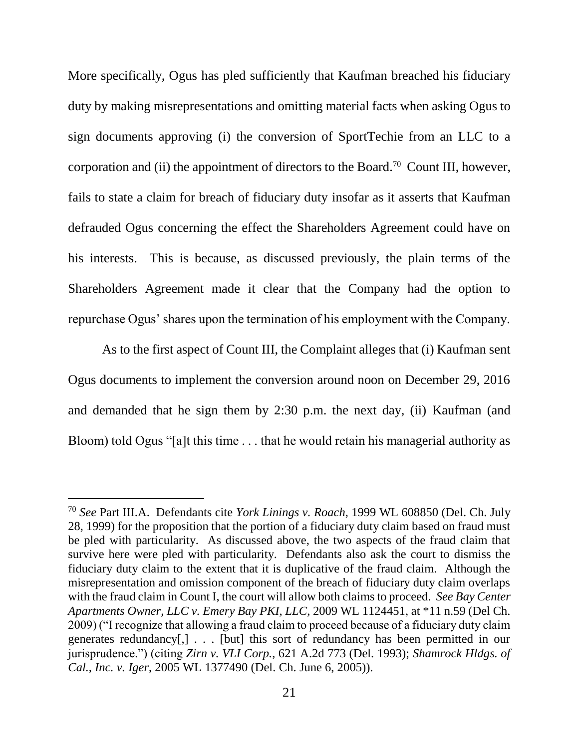More specifically, Ogus has pled sufficiently that Kaufman breached his fiduciary duty by making misrepresentations and omitting material facts when asking Ogus to sign documents approving (i) the conversion of SportTechie from an LLC to a corporation and (ii) the appointment of directors to the Board.<sup>70</sup> Count III, however, fails to state a claim for breach of fiduciary duty insofar as it asserts that Kaufman defrauded Ogus concerning the effect the Shareholders Agreement could have on his interests. This is because, as discussed previously, the plain terms of the Shareholders Agreement made it clear that the Company had the option to repurchase Ogus' shares upon the termination of his employment with the Company.

As to the first aspect of Count III, the Complaint alleges that (i) Kaufman sent Ogus documents to implement the conversion around noon on December 29, 2016 and demanded that he sign them by 2:30 p.m. the next day, (ii) Kaufman (and Bloom) told Ogus "[a]t this time . . . that he would retain his managerial authority as

<sup>70</sup> *See* Part III.A. Defendants cite *York Linings v. Roach*, 1999 WL 608850 (Del. Ch. July 28, 1999) for the proposition that the portion of a fiduciary duty claim based on fraud must be pled with particularity. As discussed above, the two aspects of the fraud claim that survive here were pled with particularity. Defendants also ask the court to dismiss the fiduciary duty claim to the extent that it is duplicative of the fraud claim. Although the misrepresentation and omission component of the breach of fiduciary duty claim overlaps with the fraud claim in Count I, the court will allow both claims to proceed. *See Bay Center Apartments Owner, LLC v. Emery Bay PKI, LLC*, 2009 WL 1124451, at \*11 n.59 (Del Ch. 2009) ("I recognize that allowing a fraud claim to proceed because of a fiduciary duty claim generates redundancy[,] . . . [but] this sort of redundancy has been permitted in our jurisprudence.") (citing *Zirn v. VLI Corp.*, 621 A.2d 773 (Del. 1993); *Shamrock Hldgs. of Cal., Inc. v. Iger*, 2005 WL 1377490 (Del. Ch. June 6, 2005)).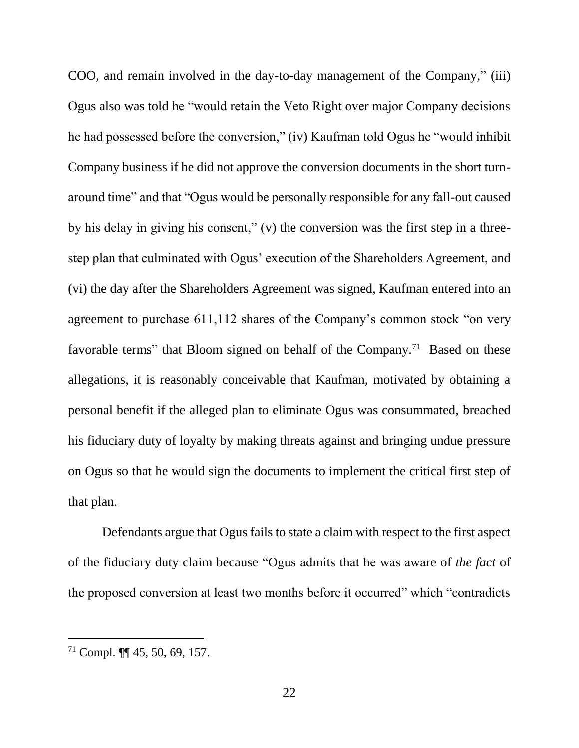COO, and remain involved in the day-to-day management of the Company," (iii) Ogus also was told he "would retain the Veto Right over major Company decisions he had possessed before the conversion," (iv) Kaufman told Ogus he "would inhibit Company business if he did not approve the conversion documents in the short turnaround time" and that "Ogus would be personally responsible for any fall-out caused by his delay in giving his consent," (v) the conversion was the first step in a threestep plan that culminated with Ogus' execution of the Shareholders Agreement, and (vi) the day after the Shareholders Agreement was signed, Kaufman entered into an agreement to purchase 611,112 shares of the Company's common stock "on very favorable terms" that Bloom signed on behalf of the Company.<sup>71</sup> Based on these allegations, it is reasonably conceivable that Kaufman, motivated by obtaining a personal benefit if the alleged plan to eliminate Ogus was consummated, breached his fiduciary duty of loyalty by making threats against and bringing undue pressure on Ogus so that he would sign the documents to implement the critical first step of that plan.

Defendants argue that Ogus fails to state a claim with respect to the first aspect of the fiduciary duty claim because "Ogus admits that he was aware of *the fact* of the proposed conversion at least two months before it occurred" which "contradicts

<sup>71</sup> Compl. ¶¶ 45, 50, 69, 157.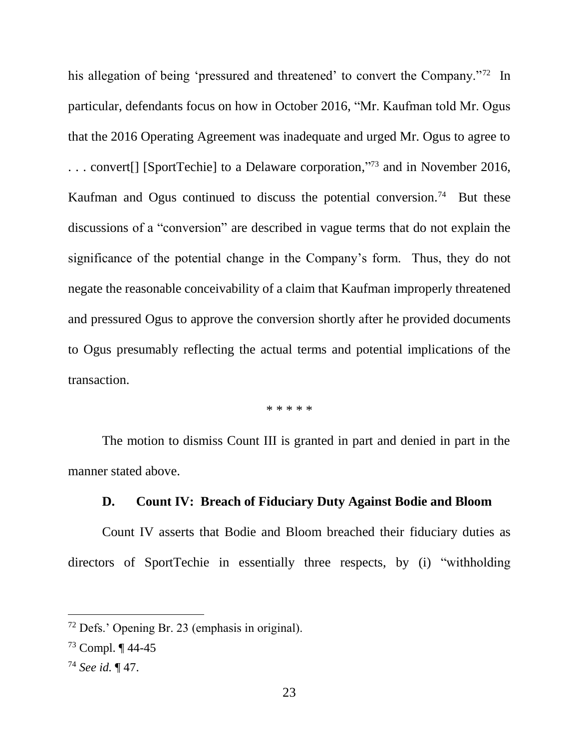his allegation of being 'pressured and threatened' to convert the Company."<sup>72</sup> In particular, defendants focus on how in October 2016, "Mr. Kaufman told Mr. Ogus that the 2016 Operating Agreement was inadequate and urged Mr. Ogus to agree to . . . convert[] [SportTechie] to a Delaware corporation," <sup>73</sup> and in November 2016, Kaufman and Ogus continued to discuss the potential conversion.<sup>74</sup> But these discussions of a "conversion" are described in vague terms that do not explain the significance of the potential change in the Company's form. Thus, they do not negate the reasonable conceivability of a claim that Kaufman improperly threatened and pressured Ogus to approve the conversion shortly after he provided documents to Ogus presumably reflecting the actual terms and potential implications of the transaction.

#### \* \* \* \* \*

The motion to dismiss Count III is granted in part and denied in part in the manner stated above.

### **D. Count IV: Breach of Fiduciary Duty Against Bodie and Bloom**

Count IV asserts that Bodie and Bloom breached their fiduciary duties as directors of SportTechie in essentially three respects, by (i) "withholding

<sup>72</sup> Defs.' Opening Br. 23 (emphasis in original).

<sup>73</sup> Compl. ¶ 44-45

<sup>74</sup> *See id.* ¶ 47.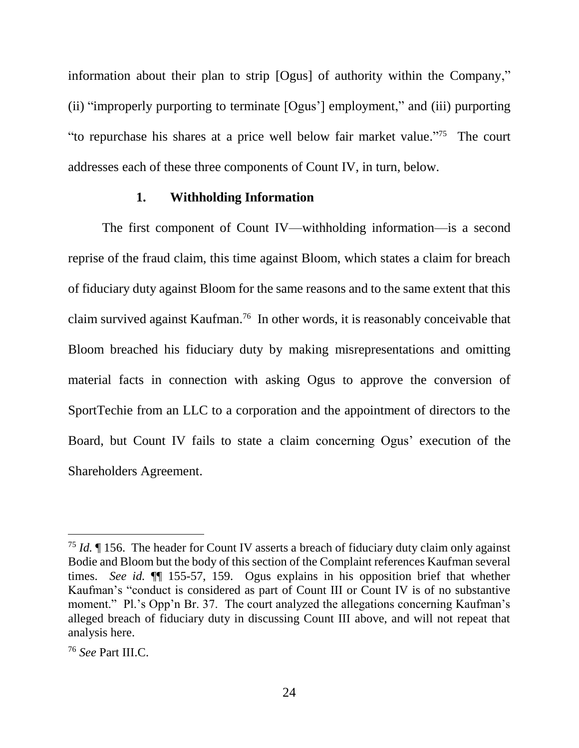information about their plan to strip [Ogus] of authority within the Company," (ii) "improperly purporting to terminate [Ogus'] employment," and (iii) purporting "to repurchase his shares at a price well below fair market value." <sup>75</sup> The court addresses each of these three components of Count IV, in turn, below.

#### **1. Withholding Information**

The first component of Count IV—withholding information—is a second reprise of the fraud claim, this time against Bloom, which states a claim for breach of fiduciary duty against Bloom for the same reasons and to the same extent that this claim survived against Kaufman.<sup>76</sup> In other words, it is reasonably conceivable that Bloom breached his fiduciary duty by making misrepresentations and omitting material facts in connection with asking Ogus to approve the conversion of SportTechie from an LLC to a corporation and the appointment of directors to the Board, but Count IV fails to state a claim concerning Ogus' execution of the Shareholders Agreement.

<sup>75</sup> *Id.* ¶ 156. The header for Count IV asserts a breach of fiduciary duty claim only against Bodie and Bloom but the body of this section of the Complaint references Kaufman several times. *See id.* ¶¶ 155-57, 159. Ogus explains in his opposition brief that whether Kaufman's "conduct is considered as part of Count III or Count IV is of no substantive moment." Pl.'s Opp'n Br. 37. The court analyzed the allegations concerning Kaufman's alleged breach of fiduciary duty in discussing Count III above, and will not repeat that analysis here.

<sup>76</sup> *See* Part III.C.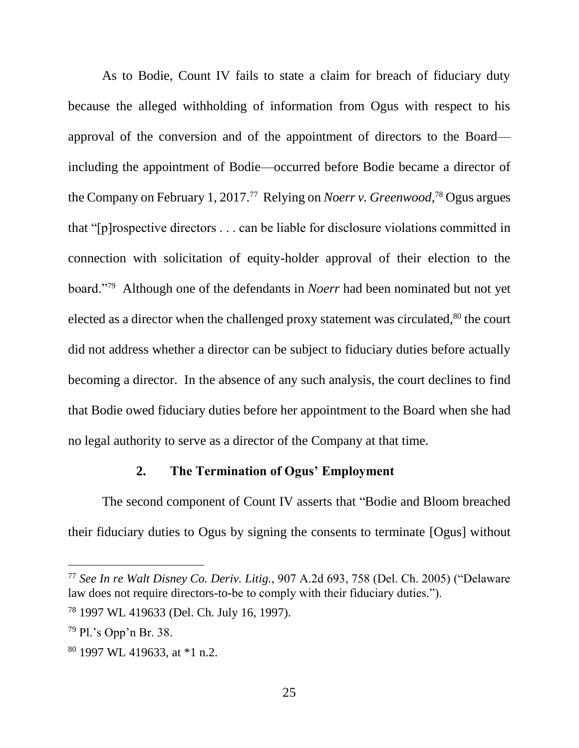As to Bodie, Count IV fails to state a claim for breach of fiduciary duty because the alleged withholding of information from Ogus with respect to his approval of the conversion and of the appointment of directors to the Board including the appointment of Bodie—occurred before Bodie became a director of the Company on February 1, 2017.<sup>77</sup> Relying on *Noerr v. Greenwood*, <sup>78</sup> Ogus argues that "[p]rospective directors . . . can be liable for disclosure violations committed in connection with solicitation of equity-holder approval of their election to the board."<sup>79</sup> Although one of the defendants in *Noerr* had been nominated but not yet elected as a director when the challenged proxy statement was circulated,<sup>80</sup> the court did not address whether a director can be subject to fiduciary duties before actually becoming a director. In the absence of any such analysis, the court declines to find that Bodie owed fiduciary duties before her appointment to the Board when she had no legal authority to serve as a director of the Company at that time.

## **2. The Termination of Ogus' Employment**

The second component of Count IV asserts that "Bodie and Bloom breached their fiduciary duties to Ogus by signing the consents to terminate [Ogus] without

<sup>77</sup> *See In re Walt Disney Co. Deriv. Litig.*, 907 A.2d 693, 758 (Del. Ch. 2005) ("Delaware law does not require directors-to-be to comply with their fiduciary duties.").

<sup>78</sup> 1997 WL 419633 (Del. Ch. July 16, 1997).

<sup>79</sup> Pl.'s Opp'n Br. 38.

<sup>80</sup> 1997 WL 419633, at \*1 n.2.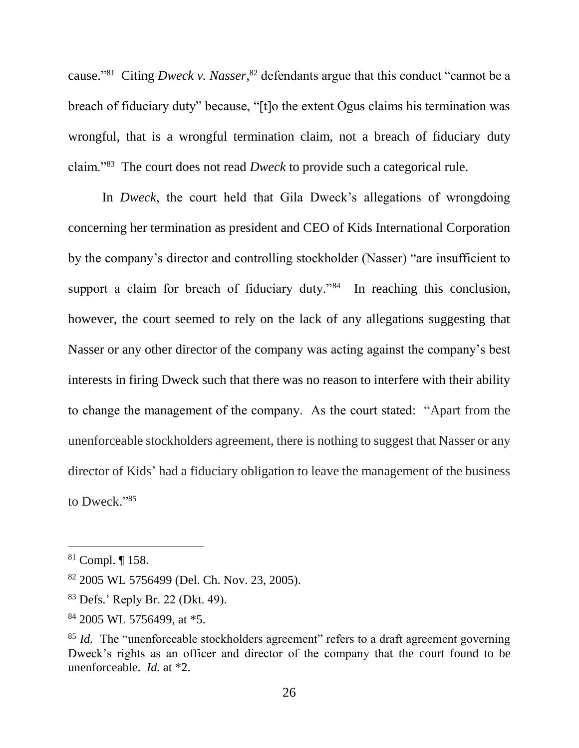cause." 81 Citing *Dweck v. Nasser*, <sup>82</sup> defendants argue that this conduct "cannot be a breach of fiduciary duty" because, "[t]o the extent Ogus claims his termination was wrongful, that is a wrongful termination claim, not a breach of fiduciary duty claim."<sup>83</sup> The court does not read *Dweck* to provide such a categorical rule.

In *Dweck*, the court held that Gila Dweck's allegations of wrongdoing concerning her termination as president and CEO of Kids International Corporation by the company's director and controlling stockholder (Nasser) "are insufficient to support a claim for breach of fiduciary duty."<sup>84</sup> In reaching this conclusion, however, the court seemed to rely on the lack of any allegations suggesting that Nasser or any other director of the company was acting against the company's best interests in firing Dweck such that there was no reason to interfere with their ability to change the management of the company. As the court stated: "Apart from the unenforceable stockholders agreement, there is nothing to suggest that Nasser or any director of Kids' had a fiduciary obligation to leave the management of the business to Dweck."85

<sup>81</sup> Compl. ¶ 158.

<sup>82</sup> 2005 WL 5756499 (Del. Ch. Nov. 23, 2005).

<sup>83</sup> Defs.' Reply Br. 22 (Dkt. 49).

 $84$  2005 WL 5756499, at  $*5$ .

<sup>&</sup>lt;sup>85</sup> *Id.* The "unenforceable stockholders agreement" refers to a draft agreement governing Dweck's rights as an officer and director of the company that the court found to be unenforceable. *Id.* at \*2.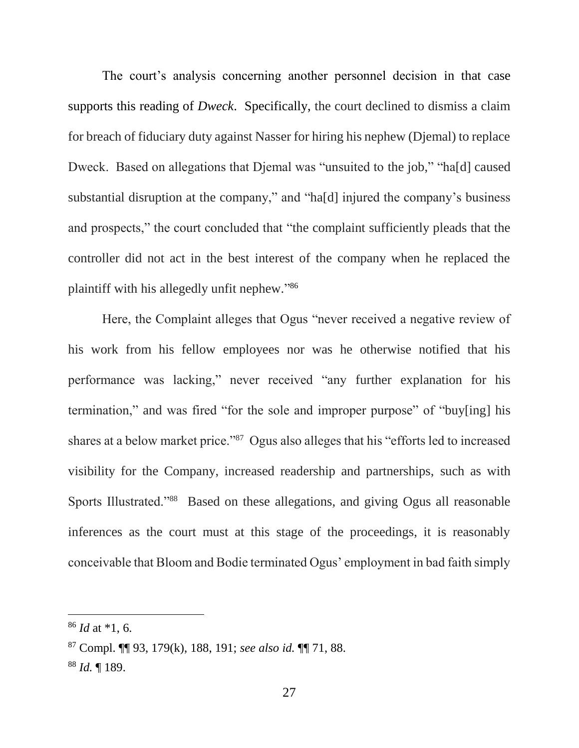The court's analysis concerning another personnel decision in that case supports this reading of *Dweck*. Specifically, the court declined to dismiss a claim for breach of fiduciary duty against Nasser for hiring his nephew (Djemal) to replace Dweck. Based on allegations that Djemal was "unsuited to the job," "ha[d] caused substantial disruption at the company," and "ha[d] injured the company's business and prospects," the court concluded that "the complaint sufficiently pleads that the controller did not act in the best interest of the company when he replaced the plaintiff with his allegedly unfit nephew." 86

Here, the Complaint alleges that Ogus "never received a negative review of his work from his fellow employees nor was he otherwise notified that his performance was lacking," never received "any further explanation for his termination," and was fired "for the sole and improper purpose" of "buy[ing] his shares at a below market price."<sup>87</sup> Ogus also alleges that his "efforts led to increased visibility for the Company, increased readership and partnerships, such as with Sports Illustrated."<sup>88</sup> Based on these allegations, and giving Ogus all reasonable inferences as the court must at this stage of the proceedings, it is reasonably conceivable that Bloom and Bodie terminated Ogus' employment in bad faith simply

<sup>86</sup> *Id* at \*1, 6.

<sup>87</sup> Compl. ¶¶ 93, 179(k), 188, 191; *see also id.* ¶¶ 71, 88.

<sup>88</sup> *Id.* ¶ 189.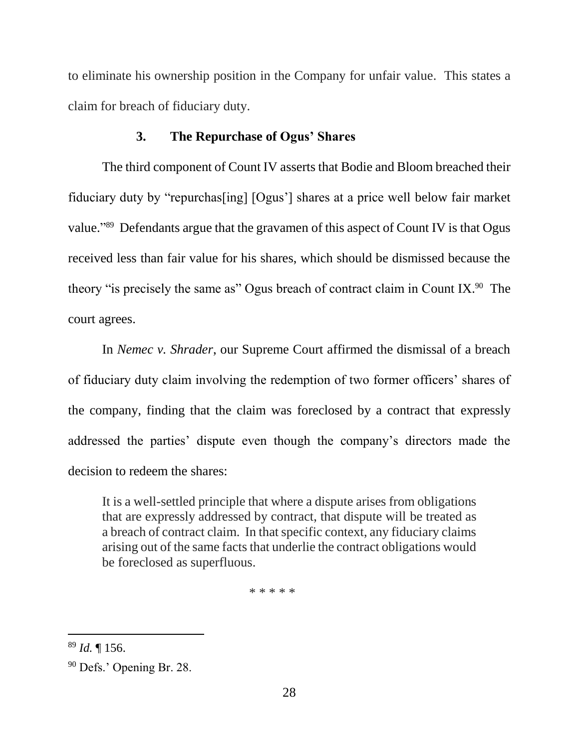to eliminate his ownership position in the Company for unfair value. This states a claim for breach of fiduciary duty.

### **3. The Repurchase of Ogus' Shares**

The third component of Count IV asserts that Bodie and Bloom breached their fiduciary duty by "repurchas[ing] [Ogus'] shares at a price well below fair market value."<sup>89</sup> Defendants argue that the gravamen of this aspect of Count IV is that Ogus received less than fair value for his shares, which should be dismissed because the theory "is precisely the same as" Ogus breach of contract claim in Count IX.<sup>90</sup> The court agrees.

In *Nemec v. Shrader*, our Supreme Court affirmed the dismissal of a breach of fiduciary duty claim involving the redemption of two former officers' shares of the company, finding that the claim was foreclosed by a contract that expressly addressed the parties' dispute even though the company's directors made the decision to redeem the shares:

It is a well-settled principle that where a dispute arises from obligations that are expressly addressed by contract, that dispute will be treated as a breach of contract claim. In that specific context, any fiduciary claims arising out of the same facts that underlie the contract obligations would be foreclosed as superfluous.

\* \* \* \* \*

<sup>89</sup> *Id.* ¶ 156.

<sup>90</sup> Defs.' Opening Br. 28.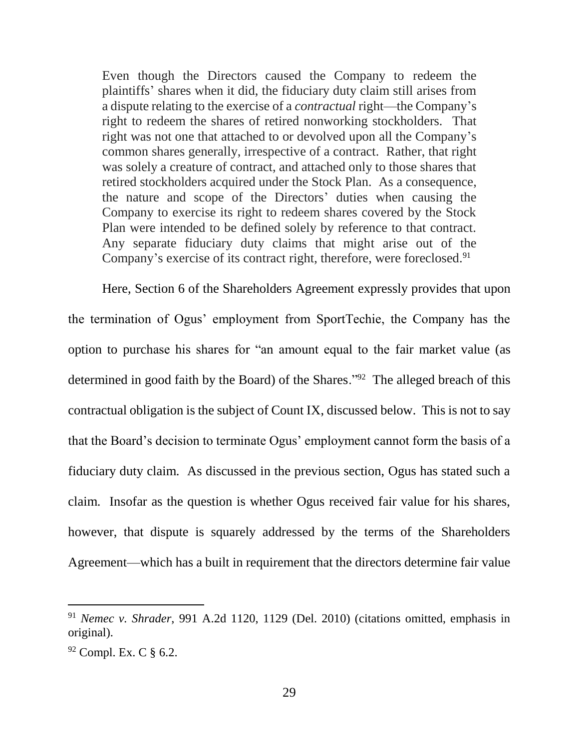Even though the Directors caused the Company to redeem the plaintiffs' shares when it did, the fiduciary duty claim still arises from a dispute relating to the exercise of a *contractual* right—the Company's right to redeem the shares of retired nonworking stockholders. That right was not one that attached to or devolved upon all the Company's common shares generally, irrespective of a contract. Rather, that right was solely a creature of contract, and attached only to those shares that retired stockholders acquired under the Stock Plan. As a consequence, the nature and scope of the Directors' duties when causing the Company to exercise its right to redeem shares covered by the Stock Plan were intended to be defined solely by reference to that contract. Any separate fiduciary duty claims that might arise out of the Company's exercise of its contract right, therefore, were foreclosed.<sup>91</sup>

Here, Section 6 of the Shareholders Agreement expressly provides that upon the termination of Ogus' employment from SportTechie, the Company has the option to purchase his shares for "an amount equal to the fair market value (as determined in good faith by the Board) of the Shares."<sup>92</sup> The alleged breach of this contractual obligation is the subject of Count IX, discussed below. This is not to say that the Board's decision to terminate Ogus' employment cannot form the basis of a fiduciary duty claim. As discussed in the previous section, Ogus has stated such a claim. Insofar as the question is whether Ogus received fair value for his shares, however, that dispute is squarely addressed by the terms of the Shareholders Agreement—which has a built in requirement that the directors determine fair value

<sup>91</sup> *Nemec v. Shrader*, 991 A.2d 1120, 1129 (Del. 2010) (citations omitted, emphasis in original).

 $92$  Compl. Ex. C  $\S$  6.2.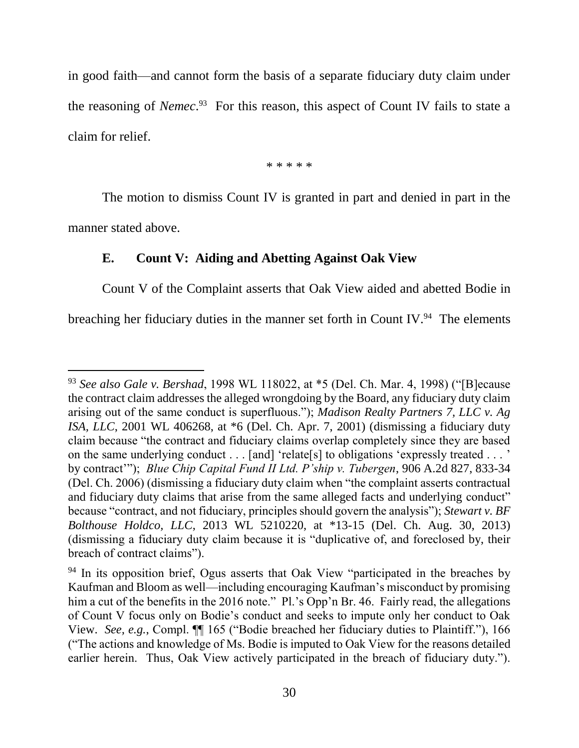in good faith—and cannot form the basis of a separate fiduciary duty claim under the reasoning of *Nemec*. 93 For this reason, this aspect of Count IV fails to state a claim for relief.

\* \* \* \* \*

The motion to dismiss Count IV is granted in part and denied in part in the manner stated above.

#### **E. Count V: Aiding and Abetting Against Oak View**

l

Count V of the Complaint asserts that Oak View aided and abetted Bodie in breaching her fiduciary duties in the manner set forth in Count IV.<sup>94</sup> The elements

<sup>93</sup> *See also Gale v. Bershad*, 1998 WL 118022, at \*5 (Del. Ch. Mar. 4, 1998) ("[B]ecause the contract claim addresses the alleged wrongdoing by the Board, any fiduciary duty claim arising out of the same conduct is superfluous."); *Madison Realty Partners 7, LLC v. Ag ISA, LLC*, 2001 WL 406268, at \*6 (Del. Ch. Apr. 7, 2001) (dismissing a fiduciary duty claim because "the contract and fiduciary claims overlap completely since they are based on the same underlying conduct . . . [and] 'relate[s] to obligations 'expressly treated . . . ' by contract'"); *Blue Chip Capital Fund II Ltd. P'ship v. Tubergen*, 906 A.2d 827, 833-34 (Del. Ch. 2006) (dismissing a fiduciary duty claim when "the complaint asserts contractual and fiduciary duty claims that arise from the same alleged facts and underlying conduct" because "contract, and not fiduciary, principles should govern the analysis"); *Stewart v. BF Bolthouse Holdco, LLC*, 2013 WL 5210220, at \*13-15 (Del. Ch. Aug. 30, 2013) (dismissing a fiduciary duty claim because it is "duplicative of, and foreclosed by, their breach of contract claims").

<sup>&</sup>lt;sup>94</sup> In its opposition brief, Ogus asserts that Oak View "participated in the breaches by Kaufman and Bloom as well—including encouraging Kaufman's misconduct by promising him a cut of the benefits in the 2016 note." Pl.'s Opp'n Br. 46. Fairly read, the allegations of Count V focus only on Bodie's conduct and seeks to impute only her conduct to Oak View. *See, e.g.*, Compl. ¶¶ 165 ("Bodie breached her fiduciary duties to Plaintiff."), 166 ("The actions and knowledge of Ms. Bodie is imputed to Oak View for the reasons detailed earlier herein. Thus, Oak View actively participated in the breach of fiduciary duty.").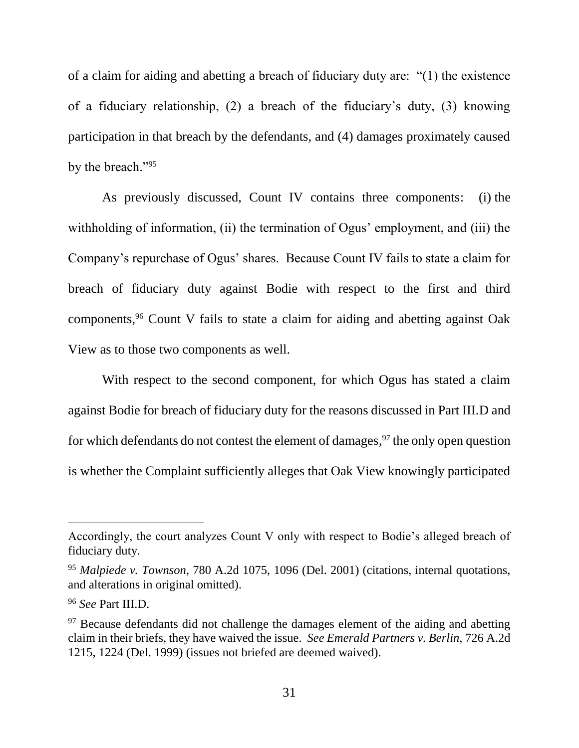of a claim for aiding and abetting a breach of fiduciary duty are: "(1) the existence of a fiduciary relationship, (2) a breach of the fiduciary's duty, (3) knowing participation in that breach by the defendants, and (4) damages proximately caused by the breach."<sup>95</sup>

As previously discussed, Count IV contains three components: (i) the withholding of information, (ii) the termination of Ogus' employment, and (iii) the Company's repurchase of Ogus' shares. Because Count IV fails to state a claim for breach of fiduciary duty against Bodie with respect to the first and third components,<sup>96</sup> Count V fails to state a claim for aiding and abetting against Oak View as to those two components as well.

With respect to the second component, for which Ogus has stated a claim against Bodie for breach of fiduciary duty for the reasons discussed in Part III.D and for which defendants do not contest the element of damages,<sup>97</sup> the only open question is whether the Complaint sufficiently alleges that Oak View knowingly participated

Accordingly, the court analyzes Count V only with respect to Bodie's alleged breach of fiduciary duty.

<sup>95</sup> *Malpiede v. Townson*, 780 A.2d 1075, 1096 (Del. 2001) (citations, internal quotations, and alterations in original omitted).

<sup>96</sup> *See* Part III.D.

<sup>&</sup>lt;sup>97</sup> Because defendants did not challenge the damages element of the aiding and abetting claim in their briefs, they have waived the issue. *See Emerald Partners v. Berlin*, 726 A.2d 1215, 1224 (Del. 1999) (issues not briefed are deemed waived).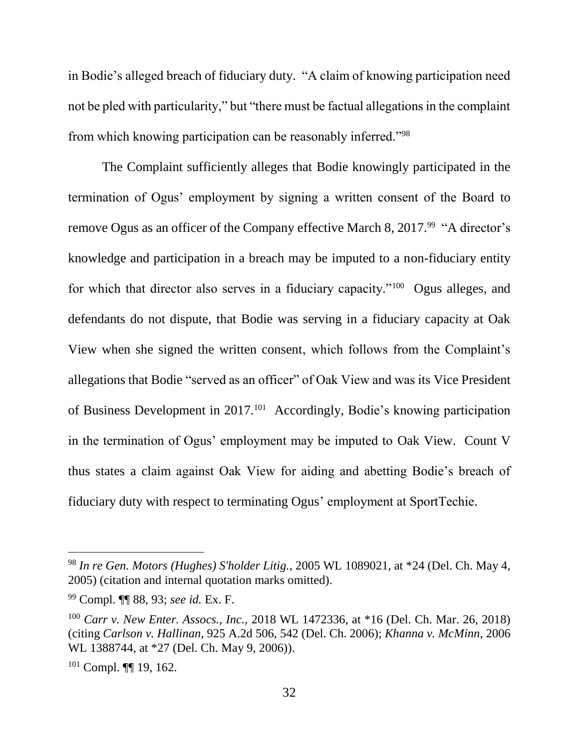in Bodie's alleged breach of fiduciary duty. "A claim of knowing participation need not be pled with particularity," but "there must be factual allegations in the complaint from which knowing participation can be reasonably inferred."<sup>98</sup>

The Complaint sufficiently alleges that Bodie knowingly participated in the termination of Ogus' employment by signing a written consent of the Board to remove Ogus as an officer of the Company effective March 8, 2017.<sup>99</sup> "A director's knowledge and participation in a breach may be imputed to a non-fiduciary entity for which that director also serves in a fiduciary capacity."<sup>100</sup> Ogus alleges, and defendants do not dispute, that Bodie was serving in a fiduciary capacity at Oak View when she signed the written consent, which follows from the Complaint's allegations that Bodie "served as an officer" of Oak View and was its Vice President of Business Development in 2017.<sup>101</sup> Accordingly, Bodie's knowing participation in the termination of Ogus' employment may be imputed to Oak View. Count V thus states a claim against Oak View for aiding and abetting Bodie's breach of fiduciary duty with respect to terminating Ogus' employment at SportTechie.

<sup>98</sup> *In re Gen. Motors (Hughes) S'holder Litig.*, 2005 WL 1089021, at \*24 (Del. Ch. May 4, 2005) (citation and internal quotation marks omitted).

<sup>99</sup> Compl. ¶¶ 88, 93; *see id.* Ex. F.

<sup>100</sup> *Carr v. New Enter. Assocs., Inc.,* 2018 WL 1472336, at \*16 (Del. Ch. Mar. 26, 2018) (citing *Carlson v. Hallinan*, 925 A.2d 506, 542 (Del. Ch. 2006); *Khanna v. McMinn*, 2006 WL 1388744, at \*27 (Del. Ch. May 9, 2006)).

<sup>101</sup> Compl. ¶¶ 19, 162.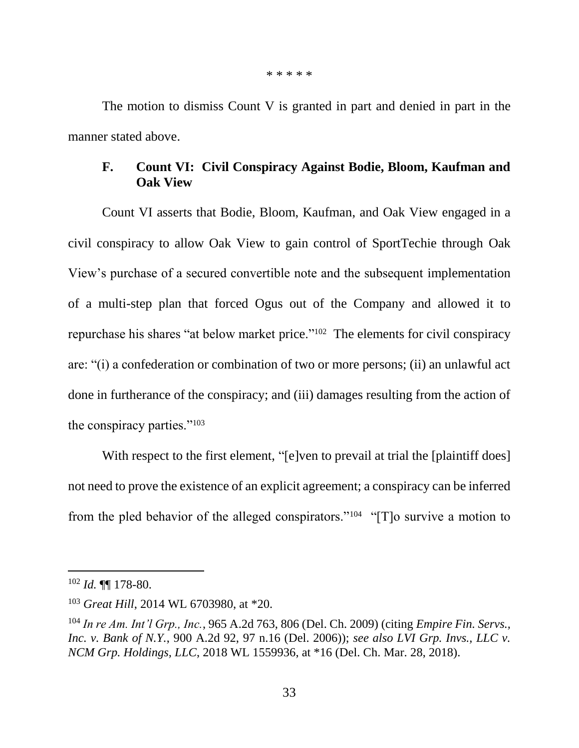\* \* \* \* \*

The motion to dismiss Count V is granted in part and denied in part in the manner stated above.

# **F. Count VI: Civil Conspiracy Against Bodie, Bloom, Kaufman and Oak View**

Count VI asserts that Bodie, Bloom, Kaufman, and Oak View engaged in a civil conspiracy to allow Oak View to gain control of SportTechie through Oak View's purchase of a secured convertible note and the subsequent implementation of a multi-step plan that forced Ogus out of the Company and allowed it to repurchase his shares "at below market price."<sup>102</sup> The elements for civil conspiracy are: "(i) a confederation or combination of two or more persons; (ii) an unlawful act done in furtherance of the conspiracy; and (iii) damages resulting from the action of the conspiracy parties."<sup>103</sup>

With respect to the first element, "[e]ven to prevail at trial the [plaintiff does] not need to prove the existence of an explicit agreement; a conspiracy can be inferred from the pled behavior of the alleged conspirators."<sup>104</sup> "[T]o survive a motion to

<sup>102</sup> *Id.* ¶¶ 178-80.

<sup>103</sup> *Great Hill*, 2014 WL 6703980, at \*20.

<sup>104</sup> *In re Am. Int'l Grp., Inc.*, 965 A.2d 763, 806 (Del. Ch. 2009) (citing *Empire Fin. Servs., Inc. v. Bank of N.Y.*, 900 A.2d 92, 97 n.16 (Del. 2006)); *see also LVI Grp. Invs., LLC v. NCM Grp. Holdings, LLC*, 2018 WL 1559936, at \*16 (Del. Ch. Mar. 28, 2018).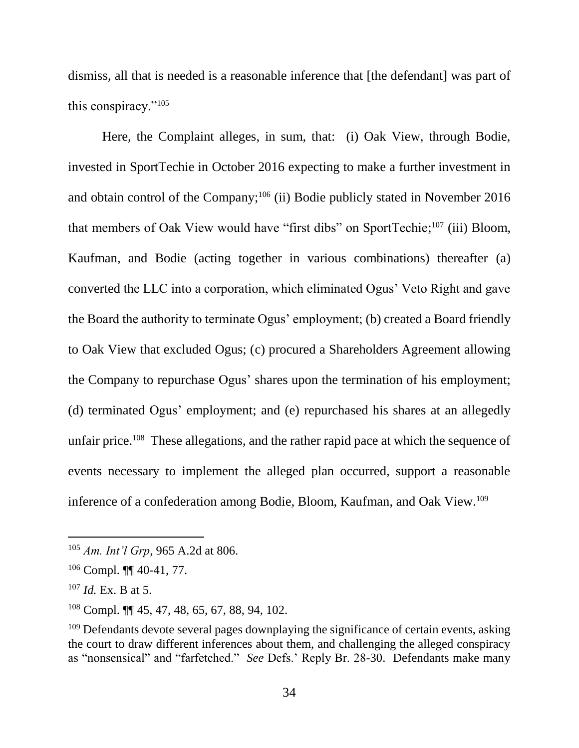dismiss, all that is needed is a reasonable inference that [the defendant] was part of this conspiracy."<sup>105</sup>

Here, the Complaint alleges, in sum, that: (i) Oak View, through Bodie, invested in SportTechie in October 2016 expecting to make a further investment in and obtain control of the Company; <sup>106</sup> (ii) Bodie publicly stated in November 2016 that members of Oak View would have "first dibs" on SportTechie;<sup>107</sup> (iii) Bloom, Kaufman, and Bodie (acting together in various combinations) thereafter (a) converted the LLC into a corporation, which eliminated Ogus' Veto Right and gave the Board the authority to terminate Ogus' employment; (b) created a Board friendly to Oak View that excluded Ogus; (c) procured a Shareholders Agreement allowing the Company to repurchase Ogus' shares upon the termination of his employment; (d) terminated Ogus' employment; and (e) repurchased his shares at an allegedly unfair price.<sup>108</sup> These allegations, and the rather rapid pace at which the sequence of events necessary to implement the alleged plan occurred, support a reasonable inference of a confederation among Bodie, Bloom, Kaufman, and Oak View.<sup>109</sup>

<sup>105</sup> *Am. Int'l Grp*, 965 A.2d at 806.

 $106$  Compl.  $\P\P$  40-41, 77.

<sup>107</sup> *Id.* Ex. B at 5.

<sup>108</sup> Compl. ¶¶ 45, 47, 48, 65, 67, 88, 94, 102.

<sup>&</sup>lt;sup>109</sup> Defendants devote several pages downplaying the significance of certain events, asking the court to draw different inferences about them, and challenging the alleged conspiracy as "nonsensical" and "farfetched." *See* Defs.' Reply Br. 28-30. Defendants make many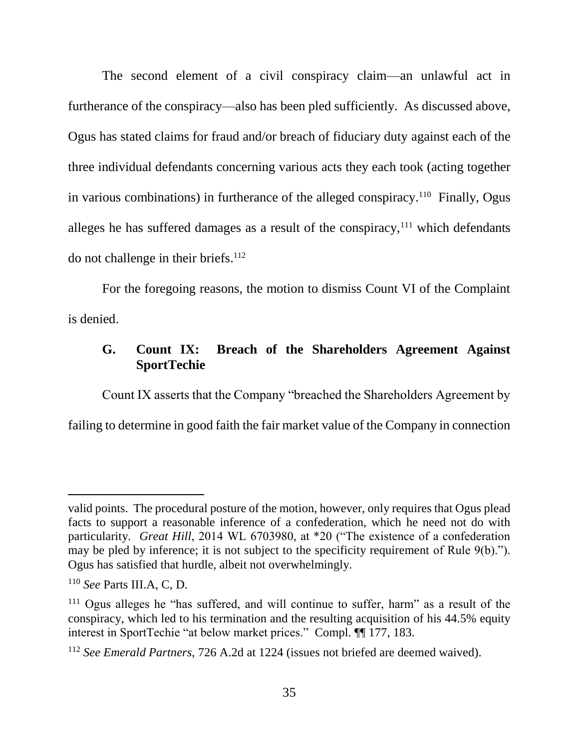The second element of a civil conspiracy claim—an unlawful act in furtherance of the conspiracy—also has been pled sufficiently. As discussed above, Ogus has stated claims for fraud and/or breach of fiduciary duty against each of the three individual defendants concerning various acts they each took (acting together in various combinations) in furtherance of the alleged conspiracy.<sup>110</sup> Finally, Ogus alleges he has suffered damages as a result of the conspiracy, $111$  which defendants do not challenge in their briefs. 112

For the foregoing reasons, the motion to dismiss Count VI of the Complaint is denied.

# **G. Count IX: Breach of the Shareholders Agreement Against SportTechie**

Count IX asserts that the Company "breached the Shareholders Agreement by failing to determine in good faith the fair market value of the Company in connection

valid points. The procedural posture of the motion, however, only requires that Ogus plead facts to support a reasonable inference of a confederation, which he need not do with particularity. *Great Hill*, 2014 WL 6703980, at \*20 ("The existence of a confederation may be pled by inference; it is not subject to the specificity requirement of Rule 9(b)."). Ogus has satisfied that hurdle, albeit not overwhelmingly.

<sup>110</sup> *See* Parts III.A, C, D.

<sup>&</sup>lt;sup>111</sup> Ogus alleges he "has suffered, and will continue to suffer, harm" as a result of the conspiracy, which led to his termination and the resulting acquisition of his 44.5% equity interest in SportTechie "at below market prices." Compl. ¶¶ 177, 183.

<sup>112</sup> *See Emerald Partners*, 726 A.2d at 1224 (issues not briefed are deemed waived).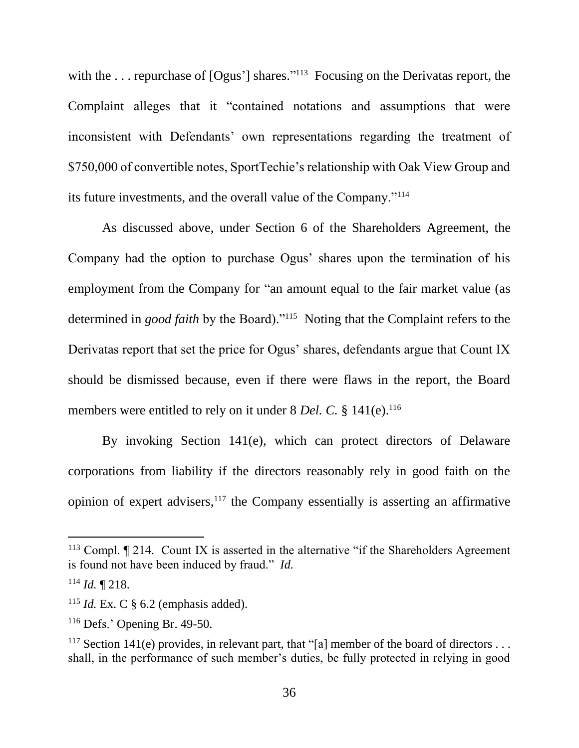with the ... repurchase of [Ogus'] shares."<sup>113</sup> Focusing on the Derivatas report, the Complaint alleges that it "contained notations and assumptions that were inconsistent with Defendants' own representations regarding the treatment of \$750,000 of convertible notes, SportTechie's relationship with Oak View Group and its future investments, and the overall value of the Company."<sup>114</sup>

As discussed above, under Section 6 of the Shareholders Agreement, the Company had the option to purchase Ogus' shares upon the termination of his employment from the Company for "an amount equal to the fair market value (as determined in *good faith* by the Board)."<sup>115</sup> Noting that the Complaint refers to the Derivatas report that set the price for Ogus' shares, defendants argue that Count IX should be dismissed because, even if there were flaws in the report, the Board members were entitled to rely on it under 8 *Del. C.* § 141(e).<sup>116</sup>

By invoking Section 141(e), which can protect directors of Delaware corporations from liability if the directors reasonably rely in good faith on the opinion of expert advisers, $117$  the Company essentially is asserting an affirmative

 $113$  Compl.  $\P$  214. Count IX is asserted in the alternative "if the Shareholders Agreement is found not have been induced by fraud." *Id.*

<sup>114</sup> *Id.* ¶ 218.

<sup>&</sup>lt;sup>115</sup> *Id.* Ex. C  $\S$  6.2 (emphasis added).

<sup>116</sup> Defs.' Opening Br. 49-50.

<sup>&</sup>lt;sup>117</sup> Section 141(e) provides, in relevant part, that "[a] member of the board of directors ... shall, in the performance of such member's duties, be fully protected in relying in good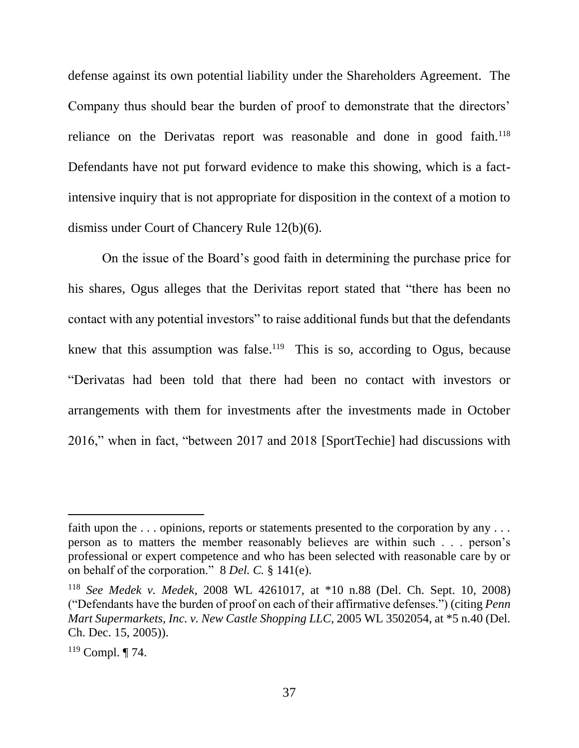defense against its own potential liability under the Shareholders Agreement. The Company thus should bear the burden of proof to demonstrate that the directors' reliance on the Derivatas report was reasonable and done in good faith.<sup>118</sup> Defendants have not put forward evidence to make this showing, which is a factintensive inquiry that is not appropriate for disposition in the context of a motion to dismiss under Court of Chancery Rule 12(b)(6).

On the issue of the Board's good faith in determining the purchase price for his shares, Ogus alleges that the Derivitas report stated that "there has been no contact with any potential investors" to raise additional funds but that the defendants knew that this assumption was false.<sup>119</sup> This is so, according to Ogus, because "Derivatas had been told that there had been no contact with investors or arrangements with them for investments after the investments made in October 2016," when in fact, "between 2017 and 2018 [SportTechie] had discussions with

faith upon the ... opinions, reports or statements presented to the corporation by any ... person as to matters the member reasonably believes are within such . . . person's professional or expert competence and who has been selected with reasonable care by or on behalf of the corporation." 8 *Del. C.* § 141(e).

<sup>118</sup> *See Medek v. Medek*, 2008 WL 4261017, at \*10 n.88 (Del. Ch. Sept. 10, 2008) ("Defendants have the burden of proof on each of their affirmative defenses.") (citing *Penn Mart Supermarkets, Inc. v. New Castle Shopping LLC*, 2005 WL 3502054, at \*5 n.40 (Del. Ch. Dec. 15, 2005)).

<sup>119</sup> Compl. ¶ 74.